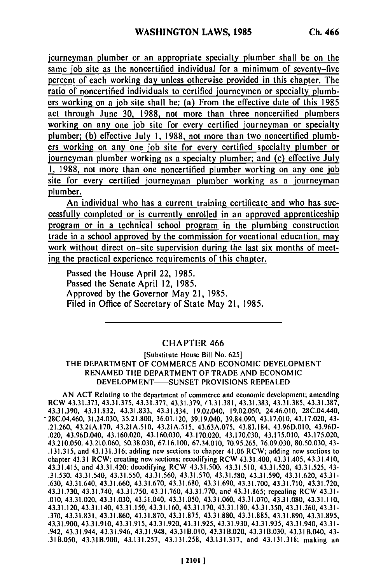journeyman plumber or an appropriate specialty plumber shall be on the same job site as the noncertified individual for a minimum of seventy-five percent of each working day unless otherwise provided in this chapter. The ratio of noncertified individuals to certified journeymen or specialty plumbers working on a job site shall be: (a) From the effective date of this 1985 act through June **30,** 1988, not more than three noncertified plumbers working on any one job site for every certified journeyman or specialty plumber; (b) effective July **1,** 1988, not more than two noncertified plumbers working on any one job site for every certified specialty plumber or journeyman plumber working as a specialty plumber; and (c) effective July **1,** 1988, not more than one noncertified plumber working on any one job site for every certified journeyman plumber working as a journeyman plumber.

An individual who has a current training certificate and who has successfully completed or is currently enrolled in an approved apprenticeship program or in a technical school program in the plumbing construction trade in a school approved by the commission for vocational education, may work without direct on-site supervision during the last six months of meeting the practical experience requirements of this chapter.

Passed the House April 22, 1985. Passed the Senate April 12, 1985. Approved by the Governor May 21, 1985. Filed in Office of Secretary of State May 21, 1985.

## CHAPTER 466

[Substitute House Bill No. 625] THE DEPARTMENT OF COMMERCE AND ECONOMIC DEVELOPMENT RENAMED THE DEPARTMENT OF TRADE AND ECONOMIC DEVELOPMENT-SUNSET PROVISIONS REPEALED

AN ACT Relating to the department of commerce and economic development; amending RCW 43.31.373, 43.31.375, 43.31.377, 43.31.379,  $\langle 3,31.381, 43.31.383, 43.31.385, 43.31.387,$ 43.31.390, 43.31.832, 43.31.833, 43.31.834, 19.02.040, 19.02.050, 24.46.010, 28C.04.440, -28C.04.460, 31.24.030, 35.21.800, 36.01.120, 39.19.040, 39.84.090, 43.17.010, 43.17.020, 43- .21.260, 43.21A.170, 43.21A.510, 43.21A.515, 43.63A.075, 43.83.184, 43.96D.010, 43.96D- .020, 43.96D.040, 43.160.020, 43.160.030, 43.170.020, 43.170.030, 43.175.010, 43.175.020, 43.210.050, 43.210.060, 50.38.030, 67.16.100, 67.34.010, 70.95.265, 76.09.030, 80.50.030, 43- .131.315, and 43.131.316; adding new sections to chapter 41.06 RCW; adding new sections to chapter 43.31 RCW; creating new sections; recodifying RCW 43.31.400, 43.31.405, 43.31.410, 43.31.415, and 43.31.420; decodifying RCW 43.31.500, 43.31.510, 43.31.520, 43.31.525, 43- .31.530, 43.31.540, 43.31.550, 43.31.560, 43.31.570, 43.31.580, 43.31.590, 43.31.620, 43.31- .630, 43.31.640, 43.31.660, 43.31.670, 43.31.680, 43.31.690, 43.31.700, 43.31.710, 43.31.720, 43.31.730, 43.31.740, 43.31.750, 43.31.760, 43.31.770, and 43.31.865; repealing RCW 43.31- .010, 43.31.020, 43.31.030, 43.31.040, 43.31.050, 43.31.060, 43.31.070, 43.31.080, 43.31.110, 43.31.120, 43.31.140, 43.31.150, 43.31.160, 43.31.170, 43.31.180, 43.31.350, 43.31.360, 43.31- .370, 43.31.831, 43.31.860, 43.31.870, 43.31.875, 43.31.880, 43.31.885, 43.31.890, 43.31.895, 43.31.900, 43.31.910, 43.31.915, 43.31.920, 43.31.925, 43.31.930, 43.31.935, 43.31.940, 43.31- .942, 43.31.944, 43.31.946, 43.31.948, 43.31B.010, 43.31B.020, 43.31B.030, 43.31B.040, 43- .31B.050, 43.31B.900, 43.131.257, 43.131.258, 43.131.317, and 43.131.318; making an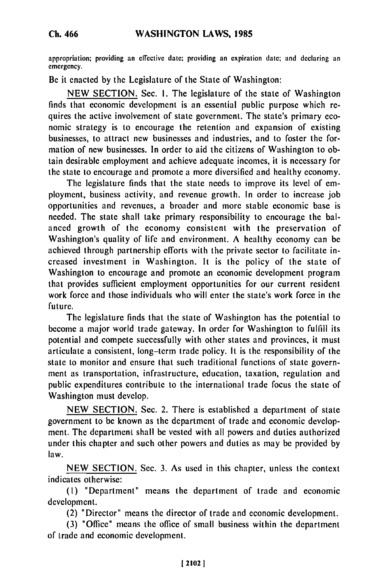appropriation; providing an cffcctivc date; providing an expiration date; and declaring an emergency.

Be it enacted **by** the Legislature of the State of Washington:

**NEW SECTION.** Sec. **I.** The legislature of the state of Washington finds that economic development is an essential public purpose which requires the active involvement of state government. The state's primary economic strategy is to encourage the retention and expansion of existing businesses, to attract new businesses and industries, and to foster the formation of new businesses. In order to aid the citizens of Washington to obtain desirable employment and achieve adequate incomes, it is necessary for the state to encourage and promote a more diversified and healthy economy.

The legislature finds that the state needs to improve its level of employment, business activity, and revenue growth. In order to increase job opportunities and revenues, a broader and more stable economic base is needed. The state shall take primary responsibility to encourage the balanced growth of the economy consistent with the preservation of Washington's quality of life and environment. **A** healthy economy can **be** achieved through partnership cfforts with the private sector to facilitate increased investment in Washington. It is the policy of the state of Washington to encourage and promote an economic development program that provides sufficient employment opportunities for our current resident work force and those individuals who will enter the state's work force in the future.

The legislature finds that the state of Washington has the potential to become a major world trade gateway. In order for Washington to fulfill its potential and compete successfully with other states and provinces, it must articulate a consistent, long-term trade policy. It is the responsibility of the state to monitor and ensure that such traditional functions of state government as transportation, infrastructure, education, taxation, regulation and public expenditures contribute to the international trade focus the state of Washington must develop.

**NEW SECTION.** Sec. 2. There is established a department of state government to be known as the department of trade and economic development. The department shall **be** vested with all powers and duties authorized under this chapter and such other powers and duties as may be provided **by** law.

**NEW SECTION.** Sec. **3.** As used in this chapter, unless the context indicates otherwise:

**(I)** "Department" means the department of trade and econonic development.

(2) "Director" means the director of trade and economic development.

**(3)** "Office" means the office of small business within the department of trade and economic development.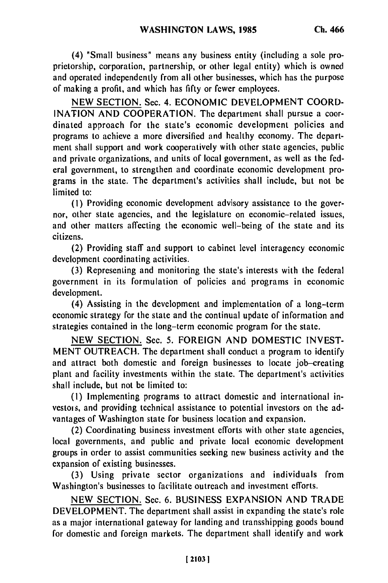(4) "Small business" means any business entity (including a sole proprietorship, corporation, partnership, or other legal entity) which is owned and operated independently from all other businesses, which has the purpose of making a profit, and which has fifty or fewer employees.

NEW SECTION. Sec. 4. ECONOMIC DEVELOPMENT COORD-INATION AND COOPERATION. The department shall pursue a coordinated approach for the state's economic development policies and programs to achieve a more diversified and healthy economy. The department shall support and work cooperatively with other state agencies, public and private organizations, and units of local government, as well as the federal government, to strengthen and coordinate economic development programs in the state. The department's activities shall include, but not be limited to:

**(1)** Providing economic development advisory assistance to the governor, other state agencies, and the legislature on economic-related issues, and other matters affecting the economic well-being of the state and its citizens.

(2) Providing staff and support to cabinet level interagency economic development coordinating activities.

(3) Representing and monitoring the state's interests with the federal government in its formulation of policies and programs in economic development.

(4) Assisting in the development and implementation of a long-term economic strategy for the state and the continual update of information and strategies contained in the long-term economic program for the state.

NEW SECTION. Sec. 5. FOREIGN AND DOMESTIC INVEST-MENT OUTREACH. The department shall conduct a program to identify and attract both domestic and foreign businesses to locate job-creating plant and facility investments within the state. The department's activities shall include, but not be limited to:

(1) Implementing programs to attract domestic and international investois, and providing technical assistance to potential investors on the advantages of Washington state for business location and expansion.

(2) Coordinating business investment efforts with other state agencies, local governments, and public and private local economic development groups in order to assist communities seeking new business activity and the expansion of existing businesses.

(3) Using private sector organizations and individuals from Washington's businesses to facilitate outreach and investment efforts.

NEW SECTION. Sec. 6. BUSINESS EXPANSION AND TRADE DEVELOPMENT. The department shall assist in expanding the state's role as a major international gateway for landing and transshipping goods bound for domestic and foreign markets. The department shall identify and work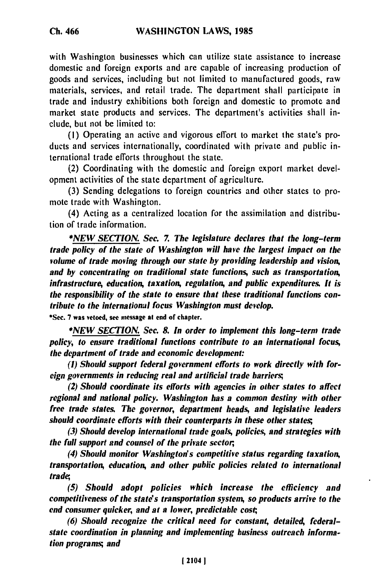with Washington businesses which can utilize state assistance to increase domestic and foreign exports and are capable of increasing production of goods and services, including but not limited to manufactured goods, raw materials, services, and retail trade. The department shall participate in trade and industry exhibitions both foreign and domestic to promote and market state products and services. The department's activities shall include, but not be limited to:

(I) Operating an active and vigorous effort to market the state's products and services internationally, coordinated with private and public international trade efforts throughout the state.

(2) Coordinating with the domestic and foreign export market development activities of the state department of agriculture.

(3) Sending delegations to foreign countries and other states to promote trade with Washington.

(4) Acting as a centralized location for the assimilation and distribution of trade information.

*\*NEW SECTION. Sec. 7. The legislature declares that the long-term trade policy of the state of Washington will have the largest impact on the volume of trade moving through our state by providing leadership and vision, and by concentrating on traditional state functions, such as transportation, infrastructure, education, taxation, regulation, and public expenditures. It is the responsibility of the state to ensure that these traditional functions contribute to the international focus Washington must develop.*

**\*Sec. 7** was vetoed, see message at end of chapter.

*\*NEW SECTION. Sec. 8. In order to implement this long-term trade policy, to ensure traditional functions contribute to an international focus, the department of trade and economic development:*

*(I) Should support federal government efforts to work directly with foreign governments in reducing real and artificial trade barriers;*

*(2) Should coordinate its efforts with agencies in other states to affect regional and national policy. Washington has a common destiny with other free trade states. The governor, department heads, and legislative leaders should coordinate efforts with their counterparts in these other states;*

*(3) Should develop international trade goals, policies, and strategies with the full support and counsel of the private sector,*

*(4) Should monitor Washington's competitive status regarding taxation, transportation, education, and other public policies related to international trade;*

*(5) Should adopt policies which increase the efficiency and competitiveness of the state's transportation system, so products arrive to the end consumer quicker, and at a lower, predictable cost,*

*(6) Should recognize the critical need for constant, detailed, federalstate coordination in planning and implementing business outreach information programs; and*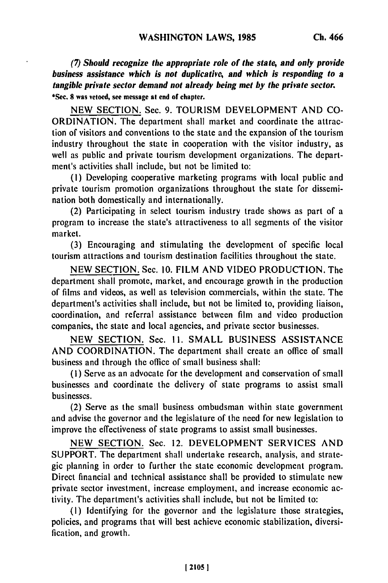*(7) Should recognize the appropriate role of the state, and only provide business assistance which is not duplicative, and which is responding to a tangible private sector demand not already being met by the private sector.* **\*Sec. 8 was vetoed, see message at end of chapter.**

**NEW** SECTION. Sec. **9.** TOURISM DEVELOPMENT **AND CO-**ORDINATION. The department shall market and coordinate the attraction of visitors and conventions to the state and the expansion of the tourism industry throughout the state in cooperation with the visitor industry, as well as public and private tourism development organizations. The department's activities shall include, but not be limited to:

(i) Developing cooperative marketing programs with local public and private tourism promotion organizations throughout the state for dissemination both domestically and internationally.

(2) Participating in select tourism industry trade shows as part of a program to increase the state's attractiveness to all segments of the visitor market.

(3) Encouraging and stimulating the development of specific local tourism attractions and tourism destination facilities throughout the state.

NEW SECTION. Sec. 10. FILM AND VIDEO PRODUCTION. The department shall promote, market, and encourage growth in the production of films and videos, as well as television commercials, within the state. The department's activities shall include, but not be limited to, providing liaison, coordination, and referral assistance between film and video production companies, the state and local agencies, and private sector businesses.

NEW SECTION. Sec. **11.** SMALL BUSINESS ASSISTANCE AND COORDINATION. The department shall create an office of small business and through the office of small business shall:

(I) Serve as an advocate for the development and conservation of small businesses and coordinate the delivery of state programs to assist small businesses.

(2) Serve as the small business ombudsman within state government and advise the governor and the legislature of the need for new legislation to improve the effectiveness of state programs to assist small businesses.

NEW SECTION. Sec. 12. DEVELOPMENT SERVICES AND SUPPORT. The department shall undertake research, analysis, and strategic planning in order to further the state economic development program. Direct financial and technical assistance shall be provided to stimulate new private sector investment, increase employment, and increase economic activity. The department's activities shall include, but not be limited to:

**(1)** Identifying for the governor and the legislature those strategies, policies, and programs that will best achieve economic stabilization, diversification, and growth.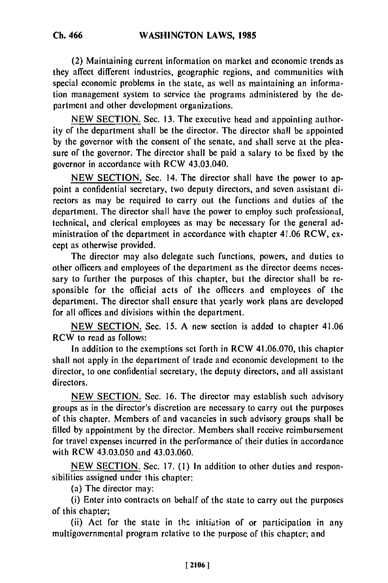(2) Maintaining current information on market and economic trends as they affect different industries, geographic regions, and communities with special economic problems in the state, as well as maintaining an information management system to service the programs administered **by** the department and other development organizations.

**NEW SECTION.** Sec. **13.** The executive head and appointing authority of the department shall be the director. The director shall be appointed **by** the governor with the consent of the senate, and shall serve at the pleasure of the governor. The director shall be paid a salary to **be** fixed **by** the governor in accordance with RCW 43.03.040.

**NEW SECTION.** Sec. 14. The director shall have the power to appoint a confidential secretary, two deputy directors, and seven assistant directors as may be required to carry out the functions and duties of the department. The director shall have the power to employ such professional, technical, and clerical employees as may be necessary for the general administration of the department in accordance with chapter 41.06 RCW, except as otherwise provided.

The director may also delegate such functions, powers, and duties to other officers and employees of the department as the director deems necessary to further the purposes of this chapter, but the director shall be responsible for the official acts of the officers and employees of the department. The director shall ensure that yearly work plans are developed for all offices and divisions within the department.

**NEW SECTION.** Sec. **15. A** new section is added to chapter 41.06 RCW to read as follows:

In addition to the exemptions set forth in RCW 41.06.070, this chapter shall not apply in the department of trade and economic development to the director, to one confidential secretary, the deputy directors, and all assistant directors.

**NEW SECTION.** Sec. **16.** The director may establish such advisory groups as in the director's discretion are necessary to carry out the purposes of this chapter. Members of and vacancies in such advisory groups shall **be** filled **by** appointment **by** the director. Members shall receive reimbursement for travel expenses incurred in the performance of their duties in accordance with RCW 43.03.050 and 43.03.060.

NEW SECTION. Sec. 17. (1) In addition to other duties and responsibilities assigned under this chapter:

(a) The director may:

(i) Enter into contracts on behalf of the state to carry out the purposes of this chapter;

(ii) Act for the state in the initiation of or participation in any multigovernmental program relative to the purpose of this chapter; and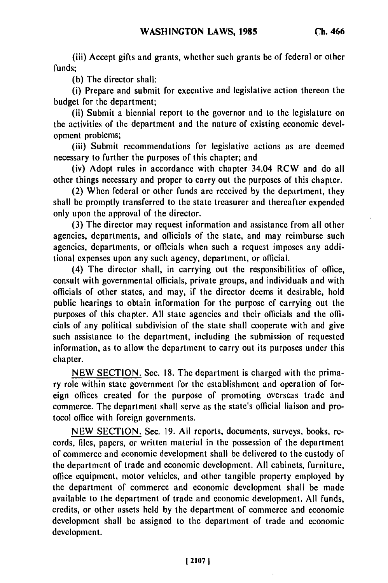(iii) Accept gifts and grants, whether such grants be of federal or other funds;

**(b)** The director shall:

(i) Prepare and submit for executive and legislative action thereon the budget for the department;

(ii) Submit a biennial report to the governor and to the legislature on the activities of the department and the nature of existing economic development problems;

(iii) Submit recommendations for legislative actions as are deemed necessary to further the purposes of this chapter; and

(iv) Adopt rules in accordance with chapter 34.04 RCW and do all other things necessary and proper to carry out the purposes of this chapter.

(2) When federal or other funds are received **by** the department, they shall be promptly transferred to the state treasurer and thereafter expended only upon the approval of the director.

**(3)** The director may request information and assistance from all other agencies, departments, and officials of the state, and may reimburse such agencies, departments, or officials when such a request imposes any additional expenses upon any such agency, department, or official.

(4) The director shall, in carrying out the responsibilities of office, consult with governmental officials, private groups, and individuals and with officials of other states, and may, if the director deems it desirable, hold public hearings to obtain information for the purpose of carrying out the purposes of this chapter. **All** state agencies and their officials and the officials of any political subdivision of the state shall cooperate with and give such assistance to the department, including the submission of requested information, as to allow the department to carry out its purposes under this chapter.

NEW SECTION. Sec. **18.** The department is charged with the primary role within state government for the establishment and operation of foreign offices created for the purpose of promoting overseas trade and commerce. The department shall serve as the state's official liaison and protocol office with foreign governments.

NEW SECTION. Sec. 19. All reports, documents, surveys, books, records, files, papers, or written material in the possession of the department of commerce and economic development shall **be** delivered to the custody of the department of trade and economic development. **All** cabinets, furniture, office equipment, motor vehicles, and other tangible property employed **by** the department of commerce and economic development shall be made available to the department of trade and economic development. **All** funds, credits, or other assets held by the department of commerce and economic development shall be assigned to the department of trade and economic development.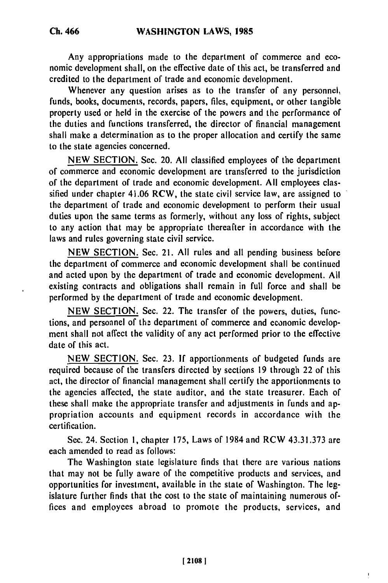Any appropriations made to the department of commerce and economic development shall, on the effective date of this act, be transferred and credited to the department of trade and economic development.

Whenever any question arises as to the transfer of any personnel, funds, books, documents, records, papers, files, equipment, or other tangible property used or held in the exercise of the powers and the performance of the duties and functions transferred, the director of financial management shall make a determination as to the proper allocation and certify the same to the state agencies concerned.

**NEW SECTION.** Sec. 20. **All** classified employees of the department of commerce and economic development are transferred to the jurisdiction of the department of trade and economic development. **All** employees classified under chapter 41.06 RCW, the state civil service law, are assigned to the department of trade and economic development to perform their usual duties upon the same terms as formerly, without any loss of rights, subject to any action that may be appropriate thereafter in accordance with the laws and rules governing state civil service.

**NEW SECTION.** Sec. 21. **All** rules and all pending business before the department of commerce and economic development shall be continued and acted upon **by** the department of trade and economic development. **All** existing contracts and obligations shall remain in full force and shall be performed **by** the department of trade and economic development.

**NEW SECTION.** Sec. 22. The transfer of the powers, duties, functions, and personnel of the department of commerce and economic development shall not affect the validity of any act performed prior to the effective date of this act.

**NEW SECTION.** Sec. **23. If** apportionments of budgeted funds are required because of the transfers directed **by** sections **19** through 22 of this act, the director of financial management shall certify the apportionments to the agencies affected, the state auditor, and the state treasurer. Each of these shall make the appropriate transfer and adjustments in funds and appropriation accounts and equipment records in accordance with the certification.

Sec. 24. Section **1,** chapter **175,** Laws of 1984 and RCW **43.31.373** are each amended to read as follows:

The Washington state legislature finds that there are various nations that may not be fully aware of the competitive products and services, and opportunities for investment, available in the state of Washington. The legislature further finds that the cost to the state of maintaining numerous offices and employees abroad to promote the products, services, and

ı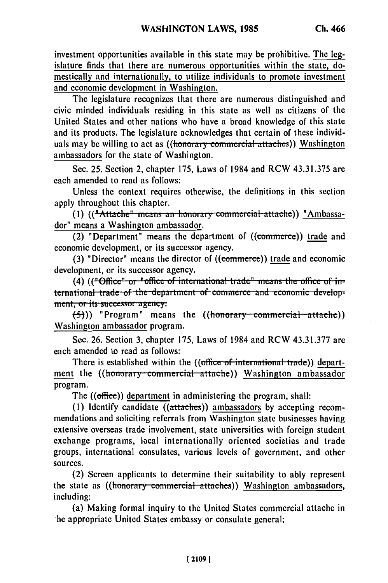investment opportunities available in this state may **be** prohibitive. The legislature finds that there are numerous opportunities within the state, domestically and internationally, to utilize individuals to promote investment and economic development in Washington.

The legislature recognizes that there are numerous distinguished and civic minded individuals residing in this state as well as citizens of the United States and other nations who have a broad knowledge of this state and its products. The legislature acknowledges that certain of these individuals may be willing to act as ((<del>honorary commercial attaches</del>)) Washington ambassadors for the state of Washington.

Sec. 25. Section 2, chapter 175, Laws of 1984 and RCW 43.31.375 are each amended to read as follows:

Unless the context requires otherwise, the definitions in this section apply throughout this chapter.

(1) (("Attache" means an honorary commercial attache)) "Ambassador" means a Washington ambassador.

(2) "Department" means the department of  $((\text{commerce})$  trade and economic development, or its successor agency.

(3) "Director" means the director of  $((**commerce**))$  trade and economic development, or its successor agency.<br>(4) (("Office" or "office of international trade" means the office of in-

<sup>i</sup>, i, it is a complement of the density of the density of the density of the density of  $\alpha$  ... lemational trade of the dep. **(a)**<br>**(-5)) "Program"** means the ((honorary commercial attache))

Washington ambassador program.

Sec. 26. Section 3, chapter 175, Laws of 1984 and RCW 43.31.377 are each amended to read as follows:

There is established within the ((office of international trade)) department the ((honorary commercial attache)) Washington ambassador program.

The ((office)) department in administering the program, shall:

(1) Identify candidate ((attaches)) ambassadors by accepting recommendations and soliciting referrals from Washington state businesses having extensive overseas trade involvement, state universities with foreign student exchange programs, local internationally oriented societies and trade groups, international consulates, various levels of government, and other sources.

(2) Screen applicants to determine their suitability to ably represent the state as ((honorary commercial attaches)) Washington ambassadors, including:

(a) Making formal inquiry to the United States commercial attache in he appropriate United States embassy or consulate general;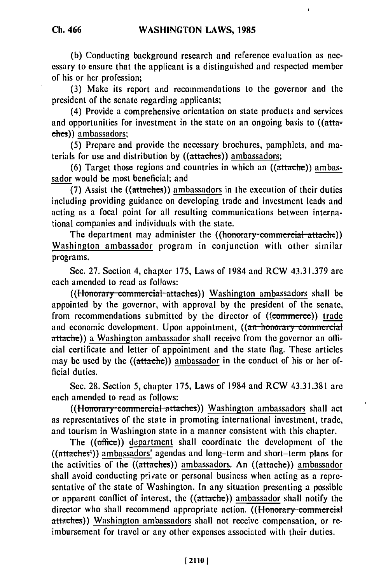**(b)** Conducting background research and reference evaluation as necessary to ensure that the applicant is a distinguished and respected member of his or her profession;

**(3)** Make its report and recommendations to the governor and the president of the senate regarding applicants;

(4) Provide a comprehensive orientation on state products and services and opportunities for investment in the state on an ongoing basis to ((attaches)) ambassadors;

**(5)** Prepare and provide the necessary brochures, pamphlets, and materials for use and distribution **by** ((attaches)) ambassadors;

**(6)** Target those regions and countries in which an ((attache)) ambassador would be most beneficial; and

**(7)** Assist the ((attaches)) ambassadors in the execution of their duties including providing guidance on developing trade and investment leads and acting as a focal point for all resulting communications between international companies and individuals with the state.

The department may administer the *((honorary commercial attache))* Washington ambassador program in conjunction with other similar programs.

Sec. 27. Section 4, chapter 175, Laws of 1984 and RCW 43.31.379 are each amended to read as follows:

((*Honorary commercial-attaches*)) Washington ambassadors shall be appointed by the governor, with approval by the president of the senate, from recommendations submitted by the director of ((commerce)) trade and economic development. Upon appointment, ((an honorary commercial attache)) a Washington ambassador shall receive from the governor an official certificate and letter of appointment and the state flag. These articles may be used by the ((attache)) ambassador in the conduct of his or her official duties.

See. 28. Section 5, chapter 175, Laws of 1984 and RCW 43.31.381 are each amended to read as follows:

((Honorary commercial attaches)) Washington ambassadors shall act as representatives of the state in promoting international investment, trade, and tourism in Washington state in a manner consistent with this chapter.

The  $((\text{office}))$  department shall coordinate the development of the ((attaches<sup>1</sup>)) ambassadors' agendas and long-term and short-term plans for the activities of the ((attaches)) ambassadors. An ((attache)) ambassador shall avoid conducting private or personal business when acting as a representative of the state of Washington. In any situation presenting a possible or apparent conflict of interest, the ((attache)) ambassador shall notify the director who shall recommend appropriate action. **((Honorary commercial** attaches)) Washington ambassadors shall not receive compensation, or reimbursement for travel or any other expenses associated with their duties.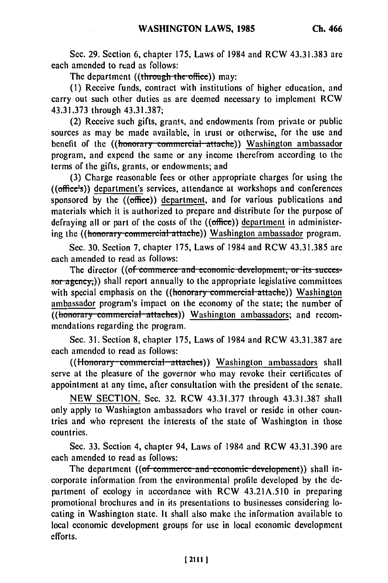Sec. 29. Section 6, chapter **175,** Laws of 1984 and RCW **43.31.383** are each amended to read as follows:

The department ((through the office)) may:

**(1)** Receive funds, contract with institutions of higher education, and carry out such other duties as are deemed necessary to implement RCW 43.31.373 through 43.31.387;

(2) Receive such gifts, grants, and endowments from private or public sources as may be made available, in trust or otherwise, for the use and benefit of the ((honorary commercial attache)) Washington ambassador program, and expend the same or any income therefrom according to the terms of the gifts, grants, or endowments; and

(3) Charge reasonable fees or other appropriate charges for using the ((office's)) department's services, attendance at workshops and conferences sponsored by the  $((office))$  department, and for various publications and materials which it is authorized to prepare and distribute for the purpose of defraying all or part of the costs of the  $((office))$  department in administering the ((honorary commercial attache)) Washington ambassador program.

Sec. 30. Section 7, chapter 175, Laws of 1984 and RCW 43.31.385 are each amended to read as follows:

The director ((of commerce and economic development, or its successor ageney,) shall report annually to the appropriate legislative committees with special emphasis on the ((honorary commercial attache)) Washington ambassador program's impact on the economy of the state; the number of  $\overline{(\text{thonorary-commercial-attaches})}$  Washington ambassadors; and recommendations regarding the program.

Sec. 31. Section 8, chapter 175, Laws of 1984 and RCW 43.31.387 are each amended to read as follows:

((Honorary commercial attaches)) Washington ambassadors shall serve at the pleasure of the governor who may revoke their certificates of appointment at any time, after consultation with the president of the senate.

NEW SECTION. Sec. 32. RCW 43.31.377 through 43.31.387 shall only apply to Washington ambassadors who travel or reside in other countries and who represent the interests of the state of Washington in those countries.

Sec. 33. Section 4, chapter 94, Laws of 1984 and RCW 43.31.390 are each amended to read as follows:

The department ((of commerce and economic development)) shall incorporate information from the environmental profile developed by the department of ecology in accordance with RCW 43.21A.510 in preparing promotional brochures and in its presentations to businesses considering locating in Washington state. It shall also make the information available to local economic development groups for use in local economic development efforts.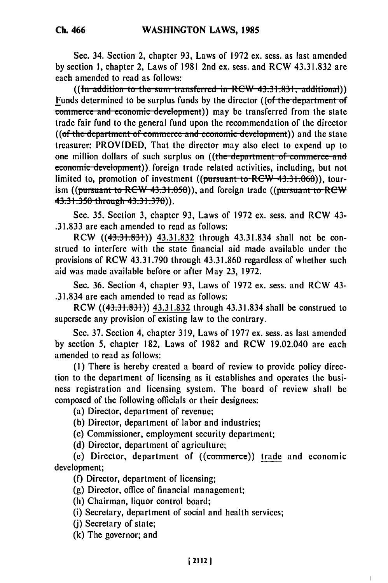Sec. 34. Section 2, chapter **93,** Laws of 1972 **ex.** sess. as last amended **by** section **1,** chapter 2, Laws of **1981** 2nd ex. sess. and RCW **43.31.832** are each amended to read as follows:

((In addition to the sum transferred in RCW 43.31.831, additional)) Funds determined to be surplus funds by the director ((of the department of **<u>Commerce and economic development</u>**)) may be transferred from the state trade fair fund to the general fund upon the recommendation of the director **((of the department of commerce and economic development))** and the state treasurer: PROVIDED, That the director may also elect to expend up to one million dollars of such surplus on ((the department of commerce and economic development)) foreign trade related activities, including, but not limited to, promotion of investment ((pursuant to  $RCW$  43.31.060)), tourism ((pursuant to RCW 43.31.050)), and foreign trade ((pursuant to RCW) **43.31.350** throuh **43.31.370)).**

Sec. 35. Section 3, chapter 93, Laws of 1972 ex. sess. and RCW 43- .31.833 are each amended to read as follows:

RCW ((43.31.831)) 43.31.832 through 43.31.834 shall not be construed to interfere with the state financial aid made available under the provisions of RCW 43.31.790 through 43.31.860 regardless of whether such aid was made available before or after May 23, 1972.

Sec. 36. Section 4, chapter 93, Laws of 1972 ex. sess. and RCW 43- .31.834 are each amended to read as follows:

RCW ((43.31.831)) 43.31.832 through 43.31.834 shall be construed to supersede any provision of existing law to the contrary.

Sec. 37. Section 4, chapter 319, Laws of 1977 ex. sess. as last amended by section 5, chapter 182, Laws of 1982 and RCW 19.02.040 are each amended to read as follows:

**(1)** There is hereby created a board of review to provide policy direction to the department of licensing as it establishes and operates the business registration and licensing system. The board of review shall be composed of the following officials or their designees:

(a) Director, department of revenue;

(b) Director, department of labor and industries;

(c) Commissioner, employment security department;

(d) Director, department of agriculture;

(e) Director, department of  $((\text{commerce}))$  trade and economic development;

(f) Director, department of licensing;

(g) Director, office of financial management;

(h) Chairman, liquor control board;

(i) Secretary, department of social and health services;

(j) Secretary of state;

(k) The governor; and

 $\mathbf{I}$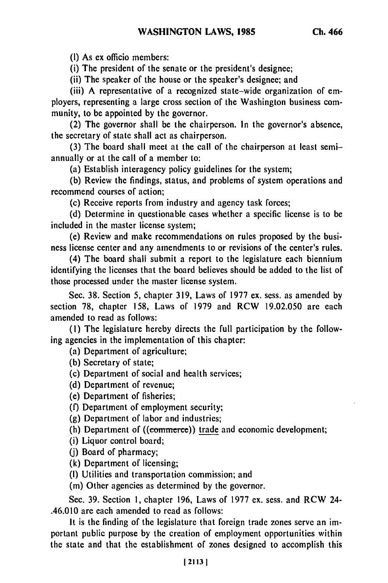(I) As ex officio members:

(i) The president of the senate or the president's designee;

(ii) The speaker of the house or the speaker's designee; and

(iii) **A** representative of a recognized state-wide organization of employers, representing a large cross section of the Washington business community, to be appointed **by** the governor.

(2) The governor shall be the chairperson. In the governor's absence, the secretary of state shall act as chairperson.

(3) The board shall meet at the call of the chairperson at least semiannually or at the call of a member to:

(a) Establish interagency policy guidelines for the system;

**(b)** Review the findings, status, and problems of system operations and recommend courses of action;

(c) Receive reports from industry and agency task forces;

**(d)** Determine in questionable cases whether a specific license is to be included in the master license system;

(e) Review and make recommendations on rules proposed **by** the business license center and any amendments to or revisions of the center's rules.

(4) The board shall submit a report to the legislature each biennium identifying the licenses that the board believes should be added to the list of those processed under the master license system.

Sec. **38.** Section 5, chapter 319, Laws of 1977 ex. sess. as amended **by** section **78,** chapter 158, Laws of 1979 and RCW 19.02.050 are each amended to read as follows:

**(1)** The legislature hereby directs the full participation **by** the following agencies in the implementation of this chapter:

(a) Department of agriculture;

(b) Secretary of state;

(c) Department of social and health services;

**(d)** Department of revenue;

(e) Department of fisheries;

(f) Department of employment security;

**(g)** Department of labor and industries;

(h) Department of  $((*commerce*))$  trade and economic development;

(i) Liquor control board;

**(j)** Board of pharmacy;

(k) Department of licensing;

**(I)** Utilities and transportation commission; and

(m) Other agencies as determined **by** the governor.

Sec. 39. Section **1,** chapter 196, Laws of **1977** ex. sess. and RCW 24- .46.010 are each amended to read as follows:

It is the finding of the legislature that foreign trade zones serve an important public purpose **by** the creation of employment opportunities within the state and that the establishment of zones designed to accomplish this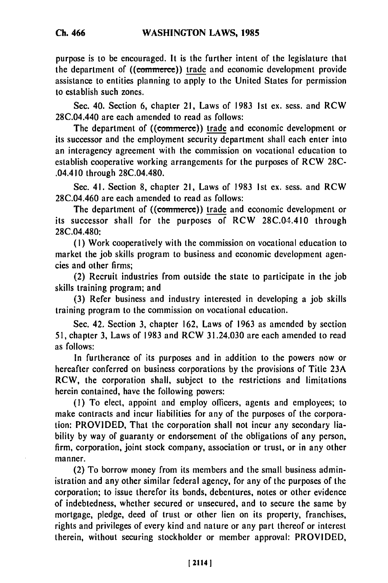purpose is to be encouraged. It is the further intent of the legislature that the department of ((commerce)) trade and economic development provide assistance to entities planning to apply to the United States for permission to establish such zones.

Sec. 40. Section 6, chapter 21, Laws of 1983 Ist ex. sess. and RCW 28C.04.440 are each amended to read as follows:

The department of ((commerce)) trade and economic development or its successor and the employment security department shall each enter into an interagency agreement with the commission on vocational education to establish cooperative working arrangements for the purposes of RCW 28C- .04.410 through 28C.04.480.

Sec. 41. Section 8, chapter 21, Laws of 1983 Ist ex. sess. and RCW 28C.04.460 are each amended to read as follows:

The department of ((commerce)) trade and economic development or its successor shall for the purposes of RCW 28C.04 .410 through 28C.04.480:

**(1)** Work cooperatively with the commission on vocational education to market the job skills program to business and economic development agencies and other firms;

(2) Recruit industries from outside the state to participate in the job skills training program; and

(3) Refer business and industry interested in developing a job skills training program to the commission on vocational education.

Sec. 42. Section 3, chapter 162, Laws of 1963 as amended by section 51, chapter 3, Laws of 1983 and RCW 31.24.030 are each amended to read as follows:

In furtherance of its purposes and in addition to the powers now or hereafter conferred on business corporations by the provisions of Title 23A RCW, the corporation shall, subject to the restrictions and limitations herein contained, have the following powers:

**(1)** To elect, appoint and employ officers, agents and employees; to make contracts and incur liabilities for any of the purposes of the corporation: PROVIDED, That the corporation shall not incur any secondary liability by way of guaranty or endorsement of the obligations of any person, firm, corporation, joint stock company, association or trust, or in any other manner.

(2) To borrow money from its members and the small business administration and any other similar federal agency, for any of the purposes of the corporation; to issue therefor its bonds, debentures, notes or other evidence of indebtedness, whether secured or unsecured, and to secure the same by mortgage, pledge, deed of trust or other lien on its property, franchises, rights and privileges of every kind and nature or any part thereof or interest therein, without securing stockholder or member approval: PROVIDED,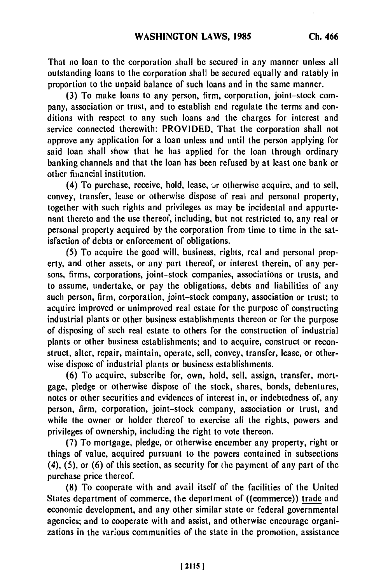That no loan to the corporation shall be secured in any manner unless all outstanding loans to the corporation shall be secured equally and ratably in proportion to the unpaid balance of such loans and in the same manner.

**(3)** To make loans to any person, firm, corporation, joint-stock company, association or trust, and to establish and regulate the terms and conditions with respect to any such loans and the charges for interest and service connected therewith: PROVIDED, That the corporation shall not approve any application for a loan unless and until the person applying for said loan shall show that he has applied for the loan through ordinary banking channels and that the loan has been refused **by** at least one bank or other financial institution.

(4) To purchase, receive, hold, lease,  $\sigma$ r otherwise acquire, and to sell, convey, transfer, lease or otherwise dispose of real and personal property, together with such rights and privileges as may be incidental and appurtenant thereto and the use thereof, including, but not restricted to, any real or personal property acquired **by** the corporation from time to time in the satisfaction of debts or enforcement of obligations.

**(5)** To acquire the good will, business, rights, real and personal property, and other assets, or any part thereof, or interest therein, of any persons, firms, corporations, joint-stock companies, associations or trusts, and to assume, undertake, or pay the obligations, debts and liabilities of any such person, firm, corporation, joint-stock company, association or trust; to acquire improved or unimproved real estate for the purpose of constructing industrial plants or other business establishments thereon or for the purpose of disposing of such real estate to others for the construction of industrial plants or other business establishments; and to acquire, construct or reconstruct, alter, repair, maintain, operate, sell, convey, transfer, lease, or otherwise dispose of industrial plants or business establishments.

**(6)** To acquire, subscribe for, own, hold, sell, assign, transfer, mortgage, pledge or otherwise dispose of the stock, shares, bonds, debentures, notes or other securities and evidences of interest in, or indebtedness of, any person, firm, corporation, joint-stock company, association or trust, and while the owner or holder thereof to exercise all the rights, powers and privileges of ownership, including the right to vote thereon.

**(7)** To mortgage, pledge, or otherwise encumber any property, right or things of value, acquired pursuant to the powers contained in subsections (4), **(5),** or **(6)** of this section, as security for the payment of any part of the purchase price thereof.

**(8)** To cooperate with and avail itself of the facilities of the United States department of commerce, the department of ((commerce)) trade and economic development, and any other similar state or federal governmental agencies; and to cooperate with and assist, and otherwise encourage organizations in the various communities of the state in the promotion, assistance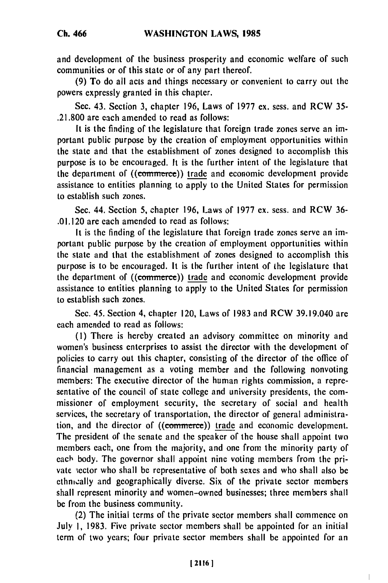**Ch. 466**

and development of the business prosperity and economic welfare of such communities or of this state or of any part thereof.

**(9)** To do all acts and things necessary or convenient to carry out the powers expressly granted in this chapter.

Sec. 43. Section **3,** chapter **196,** Laws of **1977** ex. sess. and RCW **35- .21.800 are** each amended to read as follows:

It is the finding of the legislature that foreign trade zones serve an important public purpose **by** the creation of employment opportunities within the state and that the establishment of zones designed to accomplish this purpose is to be encouraged. It is the further intent of the legislature that the department of ((commerce)) trade and economic development provide assistance to entities planning to apply to the United States for permission to establish such zones.

Sec. 44. Section 5, chapter **196,** Laws of **1977 ex.** sess. and RCW **36-** .01.120 **are** each amended to read as follows:

It is the finding of the legislature that foreign trade zones serve an important public purpose **by** the creation of employment opportunities within the state and that the establishment of zones designed to accomplish this purpose is to be encouraged. It is the further intent of the legislature that the department of ((commerce)) trade and economic development provide assistance to entities planning to apply to the United States for permission to establish such zones.

Sec. 45. Section 4, chapter 120, Laws of **1983** and RCW 39.19.040 are each amended to read as follows:

**(1)** There is hereby created an advisory committee on minority and women's business enterprises to assist the director with the development of policies to carry out this chapter, consisting of the director of the office of financial management as a voting member and the following nonvoting members: The executive director of the human rights commission, a representative of the council of state college and university presidents, the commissioner of employment security, the secretary of social and health services, the secretary of transportation, the director of general administration, and the director of ((commerce)) trade and economic development. The president of the senate and the speaker of the house shall appoint two members each, one from the majority, and one from the minority party of each body. The governor shall appoint nine voting members from the private sector who shall **be** representative of both sexes and who shall also be ethnwally and geographically diverse. Six of the private sector members shall represent minority and women-owned businesses; three members shall **be** from the business community.

(2) The initial terms of the private sector members shall commence on July **1, 1983.** Five private sector members shall **be** appointed for an initial term of two years; four private sector members shall be appointed for an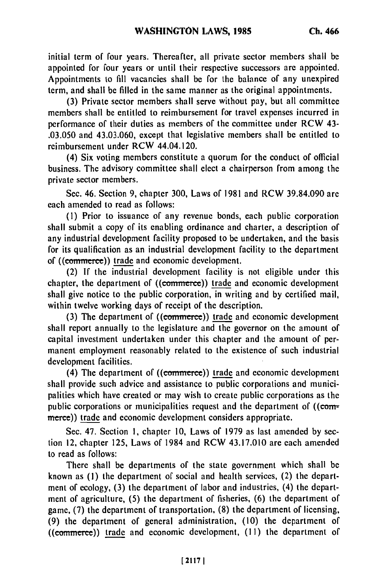initial term of four years. Thereafter, all private sector members shall be appointed for four years or until their respective successors are appointed. Appointments to fill vacancies shall be for the balance of any unexpired term, and shall be filled in the same manner as the original appointments.

(3) Private sector members shall serve without pay, but all committee members shall be entitled to reimbursement for travel expenses incurred in performance of their duties as members of the committee under RCW 43- .03.050 and 43.03.060, except that legislative members shall be entitled to reimbursement under RCW 44.04.120.

(4) Six voting members constitute a quorum for the conduct of official business. The advisory committee shall elect a chairperson from among the private sector members.

Sec. 46. Section 9, chapter 300, Laws of 1981 and RCW 39.84.090 are each amended to read as follows:

**(1)** Prior to issuance of any revenue bonds, each public corporation shall submit a copy of its enabling ordinance and charter, a description of any industrial development facility proposed to be undertaken, and the basis for its qualification as an industrial development facility to the department of ((commerce)) trade and economic development.

(2) If the industrial development facility is not eligible under this chapter, the department of ((commerce)) trade and economic development shall give notice to the public corporation, in writing and by certified mail, within twelve working days of receipt of the description.

(3) The department of ((commerce)) trade and economic development shall report annually to the legislature and the governor on the amount of capital investment undertaken under this chapter and the amount of permanent employment reasonably related to the existence of such industrial development facilities.

(4) The department of  $((**commerce**))$  trade and economic development shall provide such advice and assistance to public corporations and municipalities which have created or may wish to create public corporations as the public corporations or municipalities request and the department of  $((com$ merce)) trade and economic development considers appropriate.

Sec. 47. Section **1,** chapter 10, Laws of 1979 as last amended by section 12, chapter 125, Laws of 1984 and RCW 43.17.010 are each amended to read as follows:

There shall be departments of the state government which shall be known as **(1)** the department of social and health services, (2) the department of ecology, (3) the department of labor and industries, (4) the department of agriculture, (5) the department of fisheries, (6) the department of game, (7) the department of transportation, (8) the department of licensing, (9) the department of general administration, (10) the department of ((commerce)) trade and economic development, (11) the department of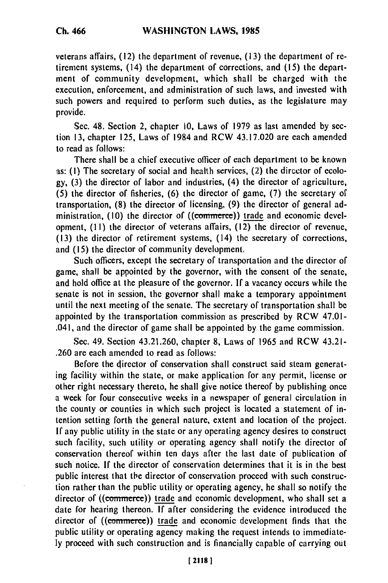veterans affairs, **(12)** the department of revenue, **(13)** the department of retirement systems, (14) the department of corrections, and **(15)** the department of community development, which shall be charged with the execution, enforcement, and administration of such laws, and invested with such powers and required to perform such duties, as the legislature may provide.

Sec. 48. Section 2, chapter **10,** Laws of **1979** as last amended **by** scetion **13,** chapter **125,** Laws of 1984 and RCW 43.17.020 are each amended to read as follows:

There shall be a chief executive officer of each department to **be** known as: **(I)** The secretary of social and health services, (2) the director of ecolo**gy, (3)** the director of labor and industries, (4) the director of agriculture, **(5)** the director of fisheries, **(6)** the director of game, **(7)** the secretary of transportation, **(8)** the director of licensing, **(9)** the director of general administration, (10) the director of ((commerce)) trade and economic development, **(I I)** the director of veterans affairs, **(12)** the director of revenue, **(13)** the director of retirement systems, (14) the secretary of corrections, and **(15)** the director of community development.

Such officers, except the secretary of transportation and the director of game, shall be appointed **by** the governor, with the consent of the senate, and hold office at the pleasure of the governor. **If** a vacancy occurs while the senate is not in session, the governor shall make a temporary appointment until the next meeting of the senate. The secretary of transportation shall be appointed **by** the transportation commission as prescribed **by** RCW 47.01- .041, and the director of game shall be appointed **by** the game commission.

Sec. 49. Section 43.21.260, chapter **8,** Laws of **1965** and RCW 43.21- **.260** are each amended to read as follows:

Before the director of conservation shall construct said steam generating facility within the state, or make application for any permit, license or other right necessary thereto, he shall give notice thereof **by** publishing once a week for four consecutive weeks in a newspaper of general circulation in the county or counties in which such project is located a statement of intention setting forth the general nature, extent and location of the project. **If** any public utility in the state or any operating agency desires to construct such facility, such utility or operating agency shall notify the director of conservation thereof within ten days after the last date of publication of such notice. **If** the director of conservation determines that it is in the best public interest that the director of conservation proceed with such construction rather than the public utility or operating agency, he shall so notify the director of ((commerce)) trade and economic development, who shall set a date for hearing thereon. **If** after considering the evidence introduced the director of ((commerce)) trade and economic development finds that the public utility or operating agency making the request intends to immediate**ly** proceed with such construction and is financially capable of carrying out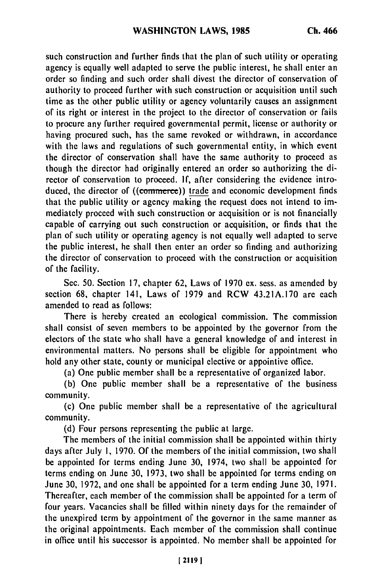such construction and further finds that the plan of such utility or operating agency is equally well adapted to serve the public interest, he shall enter an order so finding and such order shall divest the director of conservation of authority to proceed further with such construction or acquisition until such time as the other public utility or agency voluntarily causes an assignment **of** its right or interest in the project to the director of conservation or fails to procure any further required governmental permit, license or authority or having procured such, has the same revoked or withdrawn, in accordance with the laws and regulations of such governmental entity, in which event the director of conservation shall have the same authority to proceed as though the director had originally entered an order so authorizing the director of conservation to proceed. **If,** after considering the evidence introduced, the director of ((commerce)) trade and economic development finds that the public utility or agency making the request does not intend to immediately proceed with such construction or acquisition or is not financially capable of carrying out such construction or acquisition, or finds that the plan of such utility or operating agency is not equally well adapted to serve the public interest, he shall then enter an order so finding and authorizing the director of conservation to proceed with the construction or acquisition of the facility.

Sec. **50.** Section **17,** chapter **62,** Laws of **1970** ex. sess. as amended **by** section **68,** chapter 141, Laws of **1979** and RCW **43.21A.170** are each amended to read as follows:

There is hereby created an ecological commission. The commission shall consist of seven members to **be** appointed **by** the governor from the electors of the state who shall have a general knowledge of and interest in environmental matters. No persons shall be eligible for appointment who hold any other state, county or municipal elective or appointive office.

(a) One public member shall be a representative of organized labor.

**(b)** One public member shall be a representative of the business community.

(c) One public member shall be a representative of the agricultural community.

**(d)** Four persons representing the public at large.

The members of the initial commission shall **be** appointed within thirty days after July **1, 1970. Of** the members of the initial commission, two shall be appointed for terms ending June **30,** 1974, two shall be appointed for terms ending on June **30, 1973,** two shall be appointed for terms ending on June **30, 1972,** and one shall be appointed for a term ending June **30, 1971.** Thereafter, each member of the commission shall be appointed for a term of four years. Vacancies shall be **filled** within ninety days for the remainder of the unexpired term **by** appointment of the governor in the same manner as the original appointments. Each member of the commission shall continue in office until his successor is appointed. No member shall be appointed for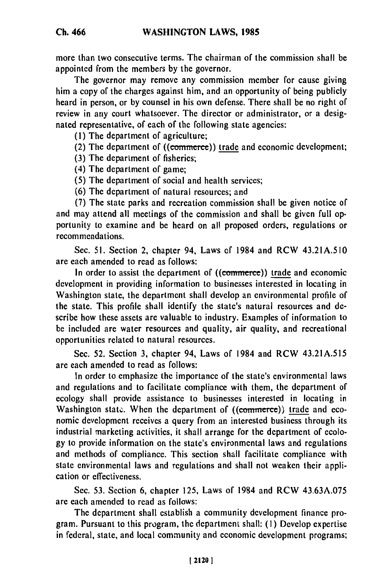more than two consecutive terms. The chairman of the commission shall be appointed from the members by the governor.

The governor may remove any commission member for cause giving him a copy of the charges against him, and an opportunity of being publicly heard in person, or by counsel in his own defense. There shall be no right of review in any court whatsoever. The director or administrator, or a designated representative, of each of the following state agencies:

(I) The department of agriculture;

(2) The department of  $((\text{commence}))$  trade and economic development;

- (3) The department of fisheries;
- (4) The department of game;
- (5) The department of social and health services;
- (6) The department of natural resources; and

(7) The state parks and recreation commission shall be given notice of and may attend all meetings of the commission and shall be given full opportunity to examine and be heard on all proposed orders, regulations or recommendations.

Sec. 51. Section 2, chapter 94, Laws of 1984 and RCW 43.21A.510 are each amended to read as follows:

In order to assist the department of ((commerce)) trade and economic development in providing information to businesses interested in locating in Washington state, the department shall develop an environmental profile of the state. This profile shall identify the state's natural resources and describe how these assets are valuable to industry. Examples of information to be included are water resources and quality, air quality, and recreational opportunities related to natural resources.

Sec. 52. Section 3, chapter 94, Laws of 1984 and RCW 43.21A.515 are each amended to read as follows:

In order to emphasize the importance of the state's environmental laws and regulations and to facilitate compliance with them, the department of ecology shall provide assistance to businesses interested in locating in Washington state. When the department of ((commerce)) trade and economic development receives a query from an interested business through its industrial marketing activities, it shall arrange for the department of ecology to provide information on the state's environmental laws and regulations and methods of compliance. This section shall facilitate compliance with state environmental laws and regulations and shall not weaken their application or effectiveness.

Sec. 53. Section 6, chapter 125, Laws of 1984 and RCW 43.63A.075 are each amended to read as follows:

The department shall establish a community development finance program. Pursuant to this program, the department shall: (I) Develop expertise in federal, state, and local community and economic development programs;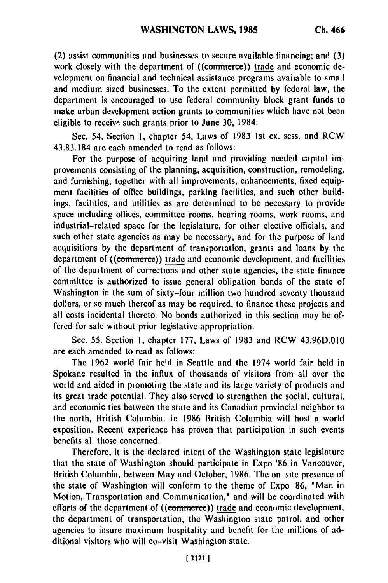(2) assist communities and businesses to secure available financing; and (3) work closely with the department of ((commerce)) trade and economic development on financial and technical assistance programs available to small and medium sized businesses. To the extent permitted by federal law, the department is encouraged to use federal community block grant funds to make urban development action grants to communities which have not been eligible to receive such grants prior to June **30,** 1984.

Sec. 54. Section **1,** chapter 54, Laws of 1983 Ist ex. sess. and RCW 43.83.184 are each amended to read as follows:

For the purpose of acquiring land and providing needed capital improvements consisting of the planning, acquisition, construction, remodeling, and furnishing, together with all improvements, enhancements, fixed equipment facilities of office buildings, parking facilities, and such other buildings, facilities, and utilities as **are** determined to be necessary to provide space including offices, committee rooms, hearing rooms, work rooms, and industrial-related space for the legislature, for other elective officials, and such other state agencies as may be necessary, and for the purpose of land acquisitions by the department of transportation, grants and loans **by** the department of ((commerce)) trade and economic development, and facilities of the department of corrections and other state agencies, the state finance committee is authorized to issue general obligation bonds of the state of Washington in the sum of sixty-four million two hundred seventy thousand dollars, or so much thereof as may be required, to finance these projects and all costs incidental thereto. No bonds authorized in this section may **be** offered for sale without prior legislative appropriation.

Sec. **55.** Section **1,** chapter **177,** Laws of **1983** and RCW 43.96D.010 are each amended to read as follows:

The 1962 world fair held in Seattle and the 1974 world fair held in Spokane resulted in the influx of thousands of visitors from all over the world and aided in promoting the state and its large variety of products and its great trade potential. They also served to strengthen the social, cultural, and economic ties between the state and its Canadian provincial neighbor to the north, British Columbia. In **1986** British Columbia will host a world exposition. Recent experience has proven that participation in such events benefits all those concerned.

Therefore, it is the declared intent of the Washington state legislature that the state of Washington should participate in Expo **'86** in Vancouver, British Columbia, between May and October, **1986.** The on-site presence of the state of Washington will conform to the theme of Expo **'86,** "Man in Motion, Transportation and Communication," and will be coordinated with efforts of the department of ((commerce)) trade and economic development, the department of transportation, the Washington state patrol, and other agencies to insure maximum hospitality and benefit for the millions of additional visitors who will co-visit Washington state.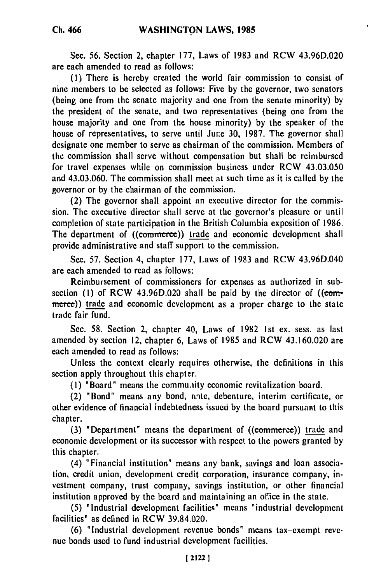**Ch. 466**

**Sec. 56.** Section 2, chapter **177,** Laws of **1983** and RCW 43.96D.020 are each amended to read as follows:

**(I)** There is hereby created the world fair commission to consist of nine members to be selected as follows: Five **by** the governor, two senators (being one from the senate majority and one from the senate minority) **by** the president of the senate, and two representatives (being one from the house majority and one from the house minority) **by** the speaker of the house of representatives, to serve until June 30, 1987. The governor shall designate one member to serve as chairman of the commission. Members of the commission shall serve without compensation but shall be reimbursed for travel expenses while on commission business under RCW 43.03.050 and 43.03.060. The commission shall meet at such time as it is called **by** the governor or **by** the chairman of the commission.

(2) The governor shall appoint an executive director for the commission. The executive director shall serve at the governor's pleasure or until completion of state participation in the British Columbia exposition of 1986. The department of ((commerce)) trade and economic development shall provide administrative and staff support to the commission.

Sec. 57. Section 4, chapter 177, Laws of 1983 and RCW 43.96D.040 are each amended to read as follows:

Reimbursement of commissioners for expenses as authorized in subsection (1) of RCW 43.96D.020 shall be paid by the director of ((commerce)) trade and economic development as a proper charge to the state trade fair fund.

Sec. **58.** Section 2, chapter 40, Laws of **1982 1st** ex. sess. as last amended **by** section 12, chapter **6,** Laws of **1985** and RCW 43.160.020 are each amended to read as follows:

Unless the context clearly requires otherwise, the definitions in this section apply throughout this chapter.

**(1)** "Board" means the commuality economic revitalization board.

(2) "Bond" means any bond, nnte, debenture, interim certificate, or other evidence of financial indebtedness issued **by** the board pursuant to this chapter.

**(3)** "Department" means the department of ((commerte)) trade and economic development or its successor with respect to the powers granted **by** this chapter.

(4) "Financial institution" means any bank, savings and loan association, credit union, development credit corporation, insurance company, investment company, trust company, savings institution, or other financial institution approved **by** the board and maintaining an office in the state.

**(5)** "Industrial development facilities" means "industrial development facilities" as defined in RCW **39.84.020.**

**(6)** "Industrial development revenue bonds" means tax-exempt **reve**nue bonds used to fund industrial development facilities.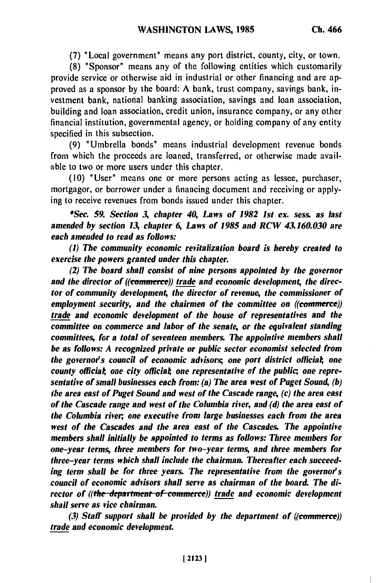**(7)** "Local government" means any port district, county, city, or town.

**(8)** "Sponsor" means any of the following entities which customarily provide service or otherwise aid in industrial or other financing and are approved as a sponsor **by** the board: **A** bank, trust company, savings bank, investment bank, national banking association, savings and loan association, building and loan association, credit union, insurance company, or any other financial institution, governmental agency, or holding company of any entity specified in this subsection.

**(9)** "Umbrella bonds" means industrial development revenue bonds from which the proceeds are loaned, transferred, or otherwise made available to two or more users under this chapter.

**(10)** "User" means one or more persons acting as lessee, purchaser, mortgagor, or borrower under a financing document and receiving or applying to receive revenues from bonds issued under this chapter.

*\*Sec. 59. Section 3, chapter 40, Laws of 1982 1st ex. sess. as last amended by section 13, chapter 6, Laws of 1985 and RCW 43.160.030 are each amended to read as follows:*

*(1)* **The** *community economic revitalization board is hereby created to exercise the powers granted under this chapter.*

*(2) The board shall consist of nine persons appointed by the governor* and the director of ((commerce)) trade and economic development, the direc*tor of community development, the director of revenue, the commissioner of employment security, and the chairmen of the committee on ((commerce)) trade and economic development of the house of representatives and the committee on commerce and labor of the senate, or the equivalent standing committees, for a total of seventeen members. The appointive members shall be as follows: A recognized private or public sector economist selected from* the governor's council of economic advisors; one port district official; one *county officiat, one city officiat, one representative of the public; one representative of small businesses each from: (a) The area west of Puget Sound, (b) the area east of Puget Sound and west of the Cascade range, (c) the area east of the Cascade range and west of the Columbia river, and (d) the area east of the Columbia river, one executive from large businesses each from the area west of the Cascades and the area east of the Cascades. The appointive members shall initially be appointed to terms as follows: Three members for one-year terms, three members for two-year terms, and three members for three-year terms which shall include the chairman. Thereafter each succeeding term shall be for three years. The representative from the governor's council of economic advisors shall serve as chairman of the board. The director of ((the department of commerce)) trade and economic development shall serve as vice chairman.*

*(3) Staff support shall be provided by the department of ((commerce)) trade and economic development.*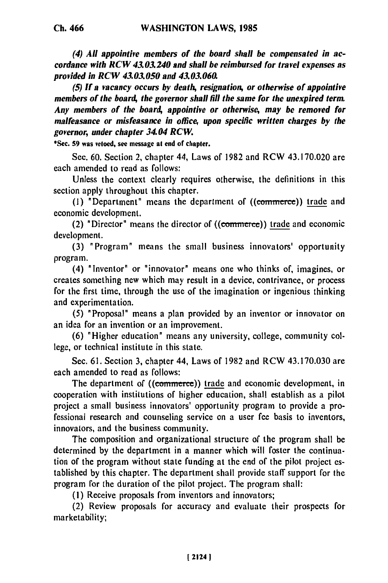**Ch. 466**

*(4) All appointive members of the board shall be compensated in accordance with RCW 43.03.240 and shall be reimbursed for travel expenses as provided in RCW 43.03.050 and 43.03.060.*

*(5) If a vacancy occurs by death, resignation, or otherwise of appointive members of the board, the governor shall fill the same for the unexpired term. Any members of the board, appointive or otherwise, may be removed for malfeasance or misfeasance in office, upon specific written charges by the governor, under chapter 34.04 RCW.*

**\*Sec. 59 was vetoed, see message at end of chapter.**

Sec. **60.** Section 2, chapter 44, Laws of **1982** and RCW 43.170.020 are each amended to read as follows:

Unless the context clearly requires otherwise, the definitions in this section apply throughout this chapter.

**(1)** "Department" means the department of ((comrnerce)) trade and economic development.

(2) "Director" means the director of  $((\text{commerce})$  trade and economic development.

**(3)** "Program" means the small business innovators' opportunity program.

(4) "Inventor" or "innovator" means one who thinks of, imagines, or creates something new which may result in a device, contrivance, or process for the first time, through the use of the imagination or ingenious thinking and experimentation.

**(5)** "Proposal" means a plan provided **by** an inventor or innovator on an idea for an invention or an improvement.

**(6)** "Higher education" means any university, college, community college, or technical institute in this state.

Sec. **61.** Section 3, chapter 44, Laws of 1982 and RCW 43.170.030 are each amended to read as follows:

The department of ((commerce)) trade and economic development, in cooperation with institutions of higher education, shall establish as a pilot project a small business innovators' opportunity program to provide a professional research and counseling service on a user fee basis to inventors, innovators, and the business community.

The composition and organizational structure of the program shall be determined by the department in a manner which will foster the continuation of the program without state funding at the end of the pilot project established by this chapter. The department shall provide staff support for the program for the duration of the pilot project. The program shall:

**(1)** Receive proposals from inventors and innovators;

(2) Review proposals for accuracy and evaluate their prospects for marketability;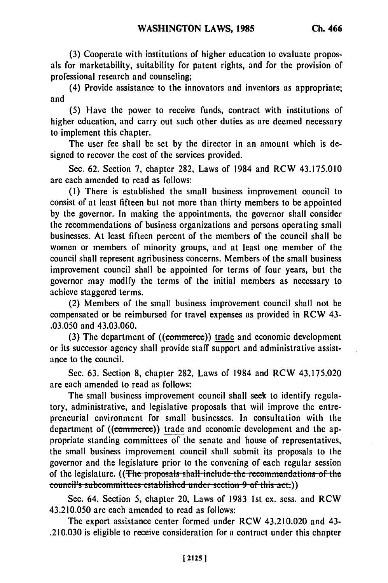**(3)** Cooperate with institutions of higher education to evaluate proposals for marketability, suitability for patent rights, and for the provision of professional research and counseling;

(4) Provide assistance to the innovators and inventors as appropriate; and

**(5)** Have the power to receive funds, contract with institutions of higher education, and carry out such other duties as are deemed necessary to implement this chapter.

The user fee shall be set **by** the director in an amount which is designed to recover the cost of the services provided.

Sec. **62.** Section **7,** chapter **282,** Laws of 1984 and RCW **43.175.010** are each amended to read as follows:

**(1)** There is established the small business improvement council to consist of at least fifteen but not more than thirty members to be appointed **by** the governor. In making the appointments, the governor shall consider the recommendations of business organizations and persons operating small businesses. At least fifteen percent of the members of the council shall be women or members of minority groups, and at least one member of the council shall represent agribusiness concerns. Members of the small business improvement council shall be appointed for terms of four years, but the governor may modify the terms of the initial members as necessary to achieve staggered terms.

(2) Members of the small business improvement council shall not be compensated or be reimbursed for travel expenses as provided in RCW 43- **.03.050** and 43.03.060.

(3) The department of ((commerce)) trade and economic development or its successor agency shall provide staff support and administrative assistance to the council.

Sec. **63.** Section **8,** chapter **282,** Laws of 1984 and RCW **43.175.020** are each amended to read as follows:

The small business improvement council shall seek to identify regulatory, administrative, and legislative proposals that will improve the entrepreneurial environment for small businesses. In consultation with the department of ((commerce)) trade and economic development and the appropriate standing committees of the senate and house of representatives, the small business improvement council shall submit its proposals to the governor and the legislature prior to the convening of each regular session of the legislature. ((The proposals shall include the recommendations of the **council's subcommittees established under section 9 of this act.))** 

Sec. 64. Section 5, chapter 20, Laws of 1983 1st ex. sess. and RCW 43.210.050 are each amended to read as follows:

The export assistance center formed under RCW 43.210.020 and 43- .210.030 is eligible to receive consideration for a contract under this chapter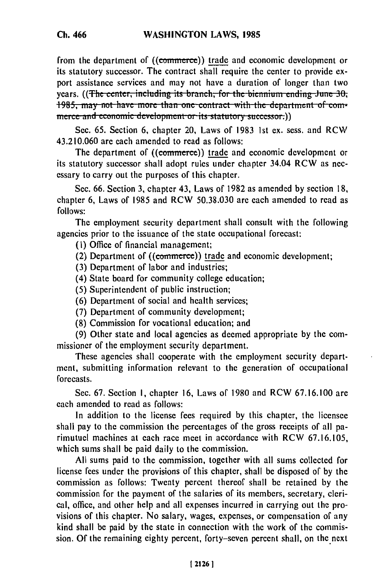from the department of ((commerce)) trade and economic development or its statutory successor. The contract shall require the center to provide export assistance services and may not have a duration of longer than two years. ((The center, including its branch, for the biennium ending June 30, **1985, may not have more than one contract with the department of com**merce and economic development or its statutory successor.))

Sec. **65.** Section **6,** chapter 20, Laws of **1983 Ist** ex. sess. and RCW 43.210.060 are each amended to read as follows:

The department of ((commerce)) trade and economic development or its statutory successor shall adopt rules under chapter 34.04 RCW as necessary to carry out the purposes of this chapter.

Sec. **66.** Section **3,** chapter 43, Laws of **1982** as amended **by** section **18,** chapter **6,** Laws of **1985** and RCW **50.38.030** are each amended to read as **follows:**

The employment security department shall consult with the following agencies prior to the issuance of the state occupational forecast:

- **(I)** Office of financial management;
- (2) Department of ((commerce)) trade and economic development;
- **(3)** Department of labor and industries;
- (4) State board for community college education;
- **(5)** Superintendent of public instruction;
- **(6)** Department of social and health services;
- **(7)** Department of community development;
- **(8)** Commission for vocational education; and

**(9)** Other state and local agencies as deemed appropriate **by** the commissioner of the employment security department.

These agencies shall cooperate with the employment security department, submitting information relevant to the generation of occupational forecasts.

Sec. **67.** Section **I,** chapter **16,** Laws of **1980** and RCW **67.16.100** are each amended to read as follows:

In addition to the license fees required **by** this chapter, the licensee shall pay to the commission the percentages of the gross receipts of all parimutuel machines at each race meet in accordance with RCW **67.16.105,** which sums shall be paid daily to the commission.

**All** sums paid to the commission, together with all sums collected for license fees under the provisions of this chapter, shall be disposed of **by** the commission as follows: Twenty percent thereof shall **be** retained **by** the commission for the payment of the salaries of its members, secretary, clerical, office, and other help and all expenses incurred in carrying out the provisions of this chapter. No salary, wages, expenses, or compensation of any kind shall be paid **by** the state in connection with the work of the commission. **Of** the remaining eighty percent, forty-seven percent shall, on the next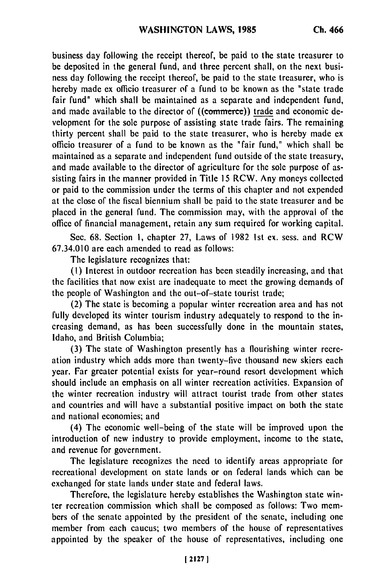business day following the receipt thereof, be paid to the state treasurer to be deposited in the general fund, and three percent shall, on the next business day following the receipt thereof, be paid to the state treasurer, who is hereby made ex officio treasurer of a fund to be known as the "state trade fair fund" which shall be maintained as a separate and independent fund, and made available to the director of ((commerce)) trade and economic development for the sole purpose of assisting state trade fairs. The remaining thirty percent shall be paid to the state treasurer, who is hereby made ex officio treasurer of a fund to be known as the "fair fund," which shall be maintained as a separate and independent fund outside of the state treasury, and made available to the director of agriculture for the sole purpose of assisting fairs in the manner provided in Title 15 RCW. Any moneys collected or paid to the commission under the terms of this chapter and not expended at the close of the fiscal biennium shall be paid to the state treasurer and be placed in the general fund. The commission may, with the approval of the office of financial management, retain any sum required for working capital.

Sec. 68. Section **1,** chapter 27, Laws of 1982 1st ex. sess. and RCW 67.34.010 are each amended to read as follows:

The legislature recognizes that:

**(1)** Interest in outdoor recreation has been steadily increasing, and that the facilities that now exist are inadequate to meet the growing demands of the people of Washington and the out-of-state tourist trade;

(2) The state is becoming a popular winter recreation area and has not fully developed its winter tourism industry adequately to respond to the increasing demand, as has been successfully done in the mountain states, Idaho, and British Columbia;

(3) The state of Washington presently has a flourishing winter recreation industry which adds more than twenty-five thousand new skiers each year. Far greater potential exists for year-round resort development which should include an emphasis on all winter recreation activities. Expansion of the winter recreation industry will attract tourist trade from other states and countries and will have a substantial positive impact on both the state and national economies; and

(4) The economic well-being of the state will be improved upon the introduction of new industry to provide employment, income to the state, and revenue for government.

The legislature recognizes the need to identify areas appropriate for recreational development on state lands or on federal lands which can be exchanged for state lands under state and federal laws.

Therefore, the legislature hereby establishes the Washington state winter recreation commission which shall be composed as follows: Two members of the senate appointed by the president of the senate, including one member from each caucus; two members of the house of representatives appointed by the speaker of the house of representatives, including one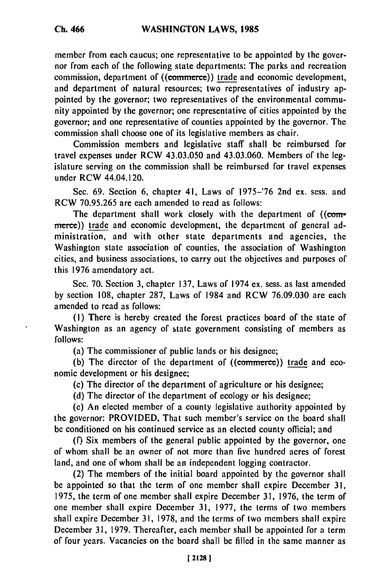member from each caucus; one representative to be appointed by the governor from each of the following state departments: The parks and recreation commission, department of ((commerce)) trade and economic development, and department of natural resources; two representatives of industry appointed by the governor; two representatives of the environmental community appointed by the governor; one representative of cities appointed by the governor; and one representative of counties appointed by the governor. The commission shall choose one of its legislative members as chair.

Commission members and legislative staff shall be reimbursed for travel expenses under RCW 43.03.050 and 43.03.060. Members of the legislature serving on the commission shall be reimbursed for travel expenses under RCW 44.04.120.

Sec. 69. Section 6, chapter 41, Laws of 1975-'76 2nd ex. sess. and RCW 70.95.265 are each amended to read as follows:

The department shall work closely with the department of ((commerce)) trade and economic development, the department of general administration, and with other state departments and agencies, the Washington state association of counties, the association of Washington cities, and business associations, to carry out the objectives and purposes of this 1976 amendatory act.

Sec. 70. Section 3, chapter 137, Laws of 1974 ex. sess. as last amended by section 108, chapter 287, Laws of 1984 and RCW 76.09.030 are each amended to read as follows:

(I) There is hereby created the forest practices board of the state of Washington as an agency of state government consisting of members as follows:

(a) The commissioner of public lands or his designee;

(b) The director of the department of ((commerce)) trade and economic development or his designee;

(c) The director of the department of agriculture or his designee;

(d) The director of the department of ecology or his designee;

(e) An elected member of a county legislative authority appointed by the governor: PROVIDED, That such member's service on the board shall be conditioned on his continued service as an elected county official; and

(f) Six members of the general public appointed by the governor, one of whom shall be an owner of not more than five hundred acres of forest land, and one of whom shall be an independent logging contractor.

(2) The members of the initial board appointed by the governor shall be appointed so that the term of one member shall expire December 31, 1975, the term of one member shall expire December 31, 1976, the term of one member shall expire December 31, 1977, the terms of two members shall expire December 31, 1978, and the terms of two members shall expire December 31, 1979. Thereafter, each member shall be appointed for a term of four years. Vacancies on the board shall be filled in the same manner as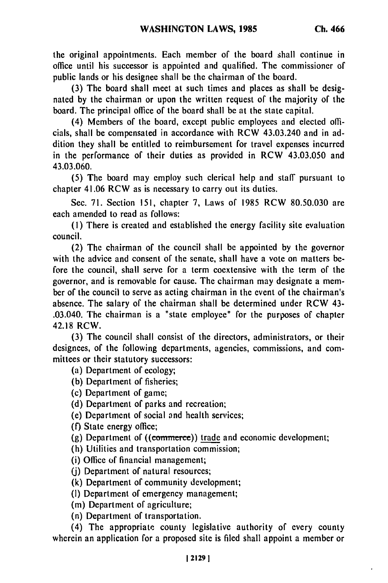the original appointments. Each member of the board shall continue in office until his successor is appointed and qualified. The commissioner of public lands or his designee shall be the chairman of the board.

(3) The board shall meet at such times and places as shall be designated by the chairman or upon the written request of the majority of the board. The principal office of the board shall be at the state capital.

(4) Members of the board, except public employees and elected officials, shall be compensated in accordance with RCW 43.03.240 and in addition they shall be entitled to reimbursement for travel expenses incurred in the performance of their duties as provided in RCW 43.03.050 and 43.03.060.

(5) The board may employ such clerical help and staff pursuant to chapter 41.06 RCW as is necessary to carry out its duties.

Sec. 71. Section 151, chapter 7, Laws of 1985 RCW 80.50.030 are each amended to read as follows:

**(1)** There is created and established the energy facility site evaluation council.

(2) The chairman of the council shall be appointed by the governor with the advice and consent of the senate, shall have a vote on matters before the council, shall serve for a term coextensive with the term of the governor, and is removable for cause. The chairman may designate a member of the council to serve as acting chairman in the event of the chairman's absence. The salary of the chairman shall be determined under RCW 43- .03.040. The chairman is a "state employee" for the purposes of chapter 42.18 RCW.

(3) The council shall consist of the directors, administrators, or their designees, of the following departments, agencies, commissions, and committees or their statutory successors:

(a) Department of ecology;

(b) Department of fisheries;

(c) Department of game;

(d) Department of parks and recreation;

(e) Department of social and health services;

(f) State energy office;

(g) Department of  $((**commerce**))$  trade and economic development;

(h) Utilities and transportation commission;

(i) Office of financial management;

(j) Department of natural resources;

(k) Department of community development;

**(1)** Department of emergency management;

(m) Department of agriculture;

(n) Department of transportation.

(4) The appropriate county legislative authority of every county wherein an application for a proposed site is filed shall appoint a member or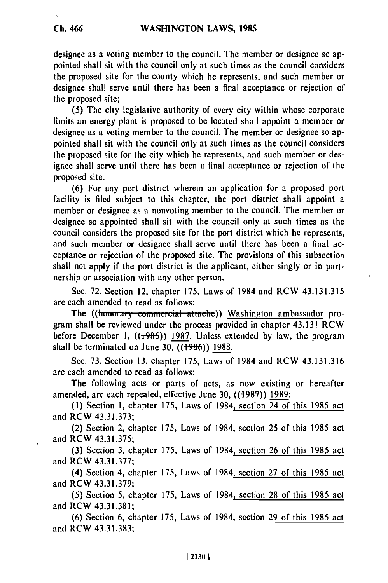designee as a voting member to the council. The member or designee so appointed shall sit with the council only at such times as the council considers the proposed site for the county which he represents, and such member or designee shall serve until there has been a final acceptance or rejection of the proposed site;

(5) The city legislative authority of every city within whose corporate limits an energy plant is proposed to be located shall appoint a member or designee as a voting member to the council. The member or designee so appointed shall sit with the council only at such times as the council considers the proposed site for the city which he represents, and such member or designee shall serve until there has been a final acceptance or rejection of the proposed site.

(6) For any port district wherein an application for a proposed port facility is filed subject to this chapter, the port district shall appoint a member or designee as a nonvoting member to the council. The member or designee so appointed shall sit with the council only at such times as the council considers the proposed site for the port district which he represents, and such member or designee shall serve until there has been a final acceptance or rejection of the proposed site. The provisions of this subsection shall not apply if the port district is the applicant, either singly or in partnership or association with any other person.

Sec. 72. Section 12, chapter 175, Laws of 1984 and RCW 43.131.315 are each amended to read as follows:

The ((honorary commercial attache)) Washington ambassador program shall be reviewed under the process provided in chapter 43.131 RCW before December 1, ((<del>1985</del>)) 1987. Unless extended by law, the program shall be terminated on June 30,  $((1986))$  1988.

Sec. **73.** Section 13, chapter 175, Laws of 1984 and RCW 43.131.316 are each amended to read as follows:

The following acts or parts of acts, as now existing or hereafter amended, arc each repealed, effective June 30,  $((1987))$  1989:

(1) Section **1,** chapter 175, Laws of 1984, section 24 of this 1985 act and RCW 43.31.373:

(2) Section 2, chapter 175, Laws of 1984, section 25 of this 1985 act and RCW 43.31.375;

(3) Section 3, chapter 175, Laws of 1984, section 26 of this 1985 act and RCW **43.3** 1.377;

(4) Section 4, chapter 175, Laws of 1984, section 27 of this 1985 act and RCW 43.3 1.379;

(5) Section 5, chapter 175, Laws of 1984, section 28 of this 1985 act and RCW 43.31.381;

(6) Section 6, chapter 175, Laws of 1984, section 29 of this 1985 act and RCW 43.31.383;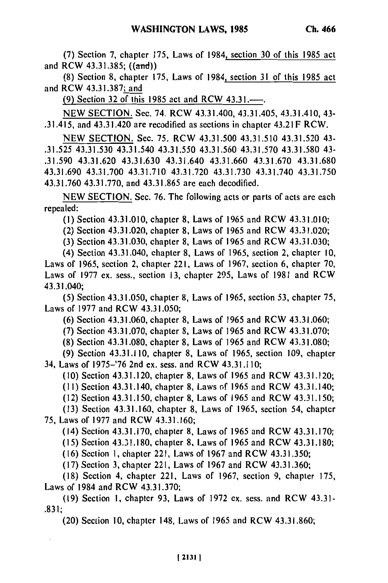**(7)** Section **7,** chapter 175, Laws of 1984, section **30** of this 1985 act and RCW 43.31.385; ((and))

**(8)** Section **8,** chapter **175,** Laws of 1984, section **31** of this 1985 act and RCW **43.31.387;** and

**(9)** Section **32** of this 1985 act and RCW 43.31.-.

NEW SECTION. Sec. 74. RCW 43.31.400, 43.31.405, 43.31.410, 43- .31.415, and 43.31.420 are recodified as sections in chapter 43.21F RCW.

NEW SECTION. Sec. **75.** RCW 43.31.500 43.31.510 43.31.520 43- .31.525 43.31.530 43.31.540 **43.31.550** 43.31.560 **43.31.570 43.31.580** 43- .31.590 43.31.620 43.31.630 43.31.640 43.31.660 **43.31.670 43.31.680** 43.31.690 43.31.700 **43.31.710** 43.31.720 **43.31.730** 43.31.740 43.31.750 **43.31.760 43.31.770,** and **43.31.865** are each decodified.

NEW SECTION. Sec. **76.** The following acts or parts of acts **are** each repealed:

**(1)** Section 43.3 1.010, chapter **8,** Laws of 1965 and RCW 43.3 1.010;

(2) Section 43.31.020, chapter **8,** Laws of 1965 and RCW 43.31.020;

**(3)** Section 43.31.030, chapter **8,** Laws of 1965 and RCW 43.31.030;

(4) Section 43.31.040, chapter **8,** Laws of 1965, section 2, chapter **10,** Laws of 1965, section 2, chapter 221, Laws of 1967, section 6, chapter **70,** Laws of 1977 ex. sess., section **13,** chapter 295, Laws of 1981 and RCW 43.31.040;

(5) Section 43.31.050, chapter **8,** Laws of 1965, section **53,** chapter 75, Laws of 1977 and RCW 43.31.050;

(6) Section 43.31.060, chapter **8,** Laws of 1965 and RCW 43.31.060;

**(7)** Section 43.31.070, chapter **8,** Laws of 1965 and RCW 43.31.070;

**(8)** Section **43.31.080,** chapter **8,** Laws of 1965 and RCW 43.31.080;

(9) Section 43.31.110, chapter **8,** Laws of 1965, section 109, chapter 34, Laws of 1975-'76 2nd ex. sess. and RCW 43.31.110;

(10) Section 43.31.120, chapter **8,** Laws of 1965 and RCW 43.31.120;

**(11)** Section 43.31.140, chapter **8,** Laws **o~f** 1965 and RCW 43.31.140;

(12) Section 43.31.150, chapter **8,** Laws of 1965 and RCW 43.31.150;

(13) Section 43.31.160, chapter **8,** Laws of 1965, section 54, chapter **75,** Laws of 1977 and RCW 43.31.160;

(14) Section 43.31.170, chapter **8,** Laws of 1965 and RCW 43.31.170;

(1 5) Section 43.3 **1.** 180, chapter 8, Laws of 1965 and RCW 43.31.180;

(16) Section 1, chapter 221, Laws of 1967 and RCW 43.31.350;

(17) Section **3,** chapter 221, Laws of 1967 and RCW **43.31.360;**

(18) Section 4, chapter 221, Laws of 1967, section **9,** chapter 175, Laws of 1984 and RCW **43.31.370;**

(19) Section **1,** chapter 93, Laws of 1972 ex. sess. and RCW 43.31- **.83** 1;

(20) Section 10, chapter 148, Laws of 1965 and RCW 43.31.860;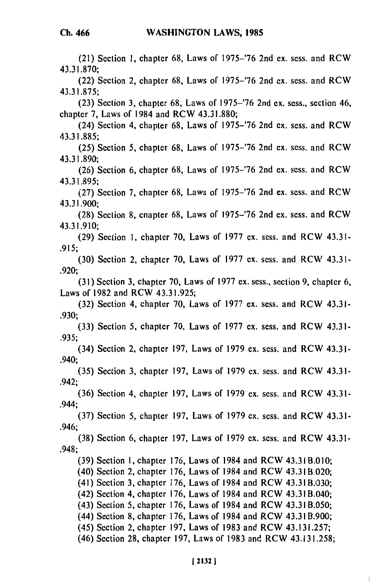(21) Section **1,** chapter 68, Laws of 1975-'76 2nd ex. sess. and RCW 43.31.870; (22) Section 2, chapter 68, Laws of 1975-'76 2nd ex. sess. and RCW 43.31.875; (23) Section 3, chapter 68, Laws of 1975-'76 2nd ex. sess., section 46, chapter 7, Laws of 1984 and RCW 43.31.880; (24) Section 4, chapter 68, Laws of 1975-'76 2nd ex. sess. and RCW 43.31.885; (25) Section 5, chapter 68, Laws of 1975-'76 2nd ex. sess. and RCW 43.31.890; (26) Section 6, chapter 68, Laws of 1975-'76 2nd ex. sess. and RCW 43.31.895; (27) Section 7, chapter 68, Laws of 1975-'76 2nd ex. sess. and RCW 43.31.900; (28) Section 8, cnapter 68, Laws of 1975-'76 2nd ex. sess. and RCW 43.31.910; (29) Section 1, chapter 70, Laws of 1977 ex. sess. and RCW 43.31- .915; (30) Section 2, chapter 70, Laws of 1977 ex. sess. and RCW 43.31- .920; (31) Section 3, chapter 70, Laws of 1977 ex. sess., section 9, chapter 6, Laws of 1982 and RCW 43.31.925; (32) Section 4, chapter 70, Laws of 1977 ex. sess. and RCW 43.31- .930; (33) Section 5, chapter 70, Laws of 1977 ex. sess. and RCW 43.31- .935; (34) Section 2, chapter 197, Laws of 1979 ex. sess. and RCW 43.31- .940; (35) Section 3, chapter 197, Laws of 1979 ex. sess. and RCW 43.31- .942; (36) Section 4, chapter 197, Laws of 1979 ex. sess. and RCW 43.31- .944; (37) Section 5, chapter 197, Laws of 1979 ex. sess. and RCW 43.31- .946; (38) Section 6, chapter 197, Laws of 1979 ex. sess. and RCW 43.31- .948; (39) Section **1,** chapter 176, Laws of 1984 and RCW 43.3 **B.010;** (40) Section 2, chapter 176, Laws of 1984 and RCW 43.31 B.020; (41) Section 3, chapter 176, Laws of 1984 and RCW 43.3 B.030; (42) Section 4, chapter 176, Laws of 1984 and RCW 43.31 B.040; (43) Section 5, chapter 176, Laws of 1984 and RCW 43.31 B.050; (44) Section 8, chapter 176, Laws of 1984 and RCW 43.3 B.900; (45) Section 2, chapter 197, Laws of 1983 and RCW 43.131.257; (46) Section 28, chapter 197, Laws of 1983 and RCW 43.131.258;

 $\mathbf{L}$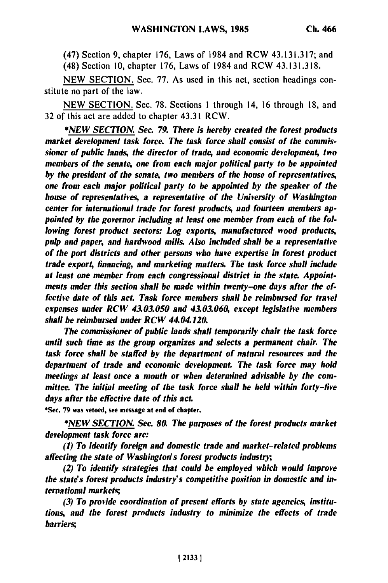(47) Section 9, chapter 176, Laws of 1984 and RCW 43.131.317; and

(48) Section 10, chapter 176, Laws of 1984 and RCW 43.131.318.

NEW SECTION. Sec. 77. As used in this act, section headings constitute no part of the law.

NEW SECTION. Sec. 78. Sections 1 through 14, 16 through 18, and 32 of this act are added to chapter 43.31 RCW.

*\*NEW* **SECTION.** *Sec. 79. There is hereby created the forest products market development task force. The task force shall consist of the commissioner of public lands, the director of trade, and economic development, two members of the senate, one from each major political party to be appointed by the president of the senate, two members of the house of representatives, one from each major political party to be appointed by the speaker of the house of representatives, a representative of the University of Washington center for international trade for forest products, and fourteen members appointed by the governor including at least one member from each of the following forest product sectors: Log exports, manufactured wood products, pulp and paper, and hardwood mills. Also included shall be a representative of the port districts and other persons who have expertise in forest product trade export, financing, and marketing matters. The task force shall include at least one member from each congressional district in the state. Appointments under this section shall be made within twenty-one days after the effective date of this act. Task force members shall be reimbursed for travel expenses under RCW 43.03.050 and 43.03.060, except legislative members shall be reimbursed under RCW 44.04.120.*

*The commissioner of public lands shall temporarily chair the task force until such time as the group organizes and selects a permanent chair. The task force shall be staffed by the department of natural resources and the department of trade and economic development. The task force may hold meetings at least once a month or when determined advisable by the committee. The initial meeting of the task force shall be held within forty-five days after the effective date of this act.*

**\*Sec. 79** was vetoed, see message at end or chapter.

**\*NEW SECTION.** Sec. **80.** *The purposes of the forest products market development task force are:*

*(1) To identify foreign and domestic trade and market-related problems affecting the state of Washington's forest products industry,*

*(2) To identify strategies that could be employed which would improve the state's forest products industry's competitive position in domestic and international markets;*

*(3) To provide coordination of present efforts by state agencies, institutions, and the forest products industry to minimize the effects of trade barriers;*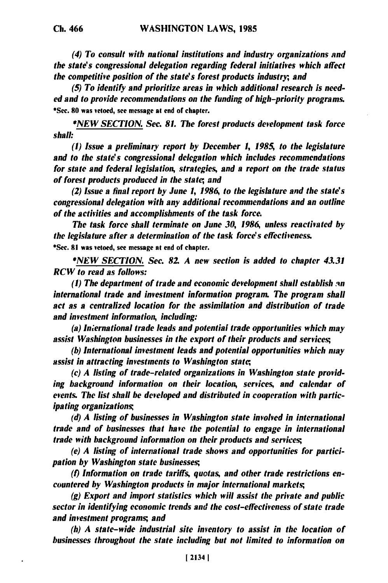*(4) To consult with national institutions and industry organizations and the state's congressional delegation regarding federal initiatives which affect the competitive position of the state's forest products industry, and*

*(5) To identify and prioritize areas in which additional research is needed and to provide recommendations on the funding of high-priority programs.* \*Sec. **80** was vetoed, see message **at** end of chapter.

*\*NEW SECTION. Sec. 81. The forest products development task force shall:*

*(1) Issue a preliminary report by December 1, 1985, to the legislature and to the state's congressional delegation which includes recommendations for state and federal legislation, strategies, and a report on the trade status of forest products produced in the state, and*

*(2) Issue a final report by June 1, 1986, to the legislature and the state's congressional delegation with any additional recommendations and an outline of the activities and accomplishments of the task force.*

*The task force shall terminate on June 30, 1986, unless reactivated by the legislature after a determination of the task force's effectiveness.* **\*Sec. 81** was vetoed, see message at end of chapter.

*\*NEW SECTION. Sec. 82. A new section is added to chapter 43.31* **RCW** *to read as follows:*

*(1) The department of trade and economic development shall establish in international trade and investment information program. The program shall act as a centralized location for the assimilation and distribution of trade and investment information, including:*

*(a) Iniernational trade leads and potential trade opportunities which may assist Washington businesses in the export of their products and services;*

*(b) International investment leads and potential opportunities which may assist in attracting investments to Washington state;,*

*(c) A listing of trade-related organizations in Washington state providing background information on their location, services, and calendar of events. The list shall be developed and distributed in cooperation with participating organizations*

*(d) A listing of businesses in Washington state involved in international trade and of businesses that have the potential to engage in international trade with background information on their products and services;*

*(e) A listing of international trade shows and opportunities for participation by Washington state businesses;*

*(t) Information on trade tariffs, quotas, and other trade restrictions encountered by Washington products in major international markets;*

*(g) Export and import statistics which will assist the private and public sector in identifying economic trends and the cost-effectiveness of state trade and investment programs; and*

*(h) A state-wide industrial site inventory to assist in the location of businesses throughout the state including but not limited to information on*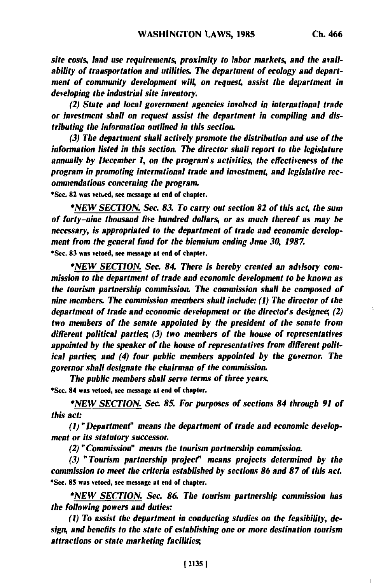÷

*site costs,* land *use requirements, proximity to labor markets, and the availability of transportation and utilities. The department of ecology and department of community development will, on request, assist the department in developing the industrial site inventory.*

*(2) State and local government agencies involved in international trade or investment shall on request assist the department in compiling and distributing the information outlined in this section.*

*(3) The department shall actively promote the distribution and use of the information listed in this section. The director shall report to the legislature annually by December 1, on the program's activities, the effectiveness of the program in promoting international trade and investment, and legislative recommendations concerning the program.*

\*Sec. **82** was vetued, see message at end of chapter.

*\*NEW SECTION. Sec. 83. To carry out section 82 of this act, the sum of forty-nine thousand five hundred dollars, or as much thereof as may* **be** *necessary, is appropriated to the department of trade and economic development from the general fund for the biennium ending* **June** *30, 1987.* **\*Se. 83** was vetoed, see message **at** end of chapter.

*\*NEW SECTION. Sac. 84. There is hereby created an advisory commission to the department of trade and economic development to be known as the tourism partnership commission. The commission shall be composed of nine members. The commission members shall include: (1) The director of the department of trade and economic development or the director's designee; (2) two members of the senate appointed by the president of the senate from different political parties; (3) two members of the house of representatives appointed by the speaker of the house of representatives from different political parties; and (4) four public members appointed by the governor. The governor shall designate the chairman of the commission.*

*The public members shall serve terms of three years.* **\*Sec.** 84 was vetoed, see message at end of chapter.

*\*NEW SECTION. Sec. 85. For purposes of sections 84 through 91 of this act:*

*(I) "Department" means the department of trade and economic development or its statutory successor.*

*(2) "Commission" means the tourism partnership commission.*

*(3) "Tourism partnership project" means projects determined by the commission to meet the criteria established by sections 86 and 87 of this act.* \*Sec. **85** was vetoed, see message **at** end of chapter.

*\*NEW SECTION. Sec.* **86.** *The tourism partnership commission has the following powers and duties:*

*(1) To assist the department in conducting studies on the feasibility, design, and benefits to the state of establishing one or more destination tourism attractions or state marketing facilities;*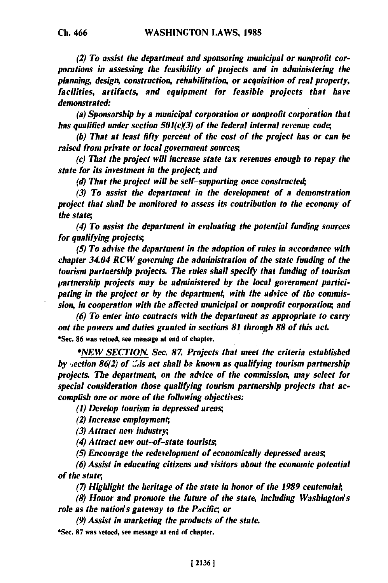*(2) To assist the department and sponsoring municipal or nonprofit corporations in assessing the feasibility of projects and in administering the planning, design, construction, rehabilitation, or acquisition of real property, facilities, artifacts, and equipment for feasible projects that have demonstrated:*

*(a) Sponsorship by a municipal corporation or nonprofit corporation that has qualified under section 501(cX3) of the federal internal revenue code,*

*(h) That at least fifty percent of the cost of the project has or can be raised from private or local government sources;*

*(c) That the project will increase state tax revenues enough to repay the state for its investment in the project; and*

**(d)** *That the project will be self-supporting once constructed;*

*(3) To assist the department in the development of a demonstration project that shall be monitored to assess its contribution to the economy of the state,*

*(4) To assist the department in evaluating the potential funding sources for qualifying projects;*

*(5) To advise the department in the adoption of rules in accordance with chapter 34.04 RCW governing the administration of the state funding of the tourism partnership projects. The rules shall specify that funding of tourism partnership projects may be administered by the local government participating in the project or by the department, with the advice of the commission, in cooperation with the affected municipal or nonprofit corporation, and*

*(6) To enter into contracts with the department as appropriate to carry out the powers and duties granted in sections 81 through 88 of this act.* \*Sec. **86** was vetoed, see message at end of chapter.

*\*NEW SECTION. See. 87. Projects that meet the criteria established by vection 86(2) of .Us act shall be known as qualifying tourism partnership projects The department, on the advice of the commission, may select for special consideration those qualifying tourism partnership projects that accomplish one or more of the following objectives:*

*(1) Develop tourism in depressed areas;*

*(2) Increase employment;,*

*(3) Attract new industry;*

*(4) Attract new out-of-state tourists;*

*(5) Encourage the redevelopment of economically depressed areas;*

*(6) Assist in educating citizens and visitors about the economic potential of the state,*

*(7) Highlight the heritage of the state in honor of the 1989 centennial,*

*(8) Honor and promote the future of the state, including Washington's role as the nation's gateway to the Pacific; or*

*(9) Assist in marketing the products of the state.*

**\*Sec. 87** was vetoed, see message at end of chapter.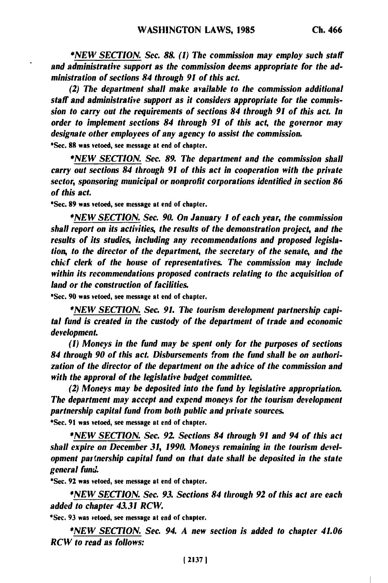**\*NEW SECTION.** Sec. **88.** *(1) The commission may employ such staff and administrative support as the commission deems appropriate for the administration of sections 84 through 91 of this act.*

*(2) The department shall make available to the commission additional staff and administrative support as it considers appropriate for tile commission to carry out the requirements of sections 84 through 91 of this act. In order to implement sections 84 through 91 of this act, the governor may designate other employees of any agency to assist the commission.* \*Sec. **88** was vetoed, see message at end of chapter.

*\*NEW SECTION. Sec. 89. The department and the commission shall carry out sections 84 through 91 of this act in cooperation with the private sector, sponsoring municipal or nonprofit corporations identified in section 86 of this act.*

**\*Sec. 89** was vetoed, see message **at** end of chapter.

*\*NEW SECTION. Sec. 90. On January I of each year, the commission shall report on its activities, the results of the demonstration project, and the results of its studies, including any recommendations and proposed legislation, to the director of the department, the secretary of the senate, and the chief clerk of the house of representatives. The commission may include within its recommendations proposed contracts relating to the acquisition of land or the construction of facilities.*

\*Sec. **90** was vetoed, see message at end of chapter.

*\*NEW SECTION. Sec. 91. The tourism development partnership capital fund is created in the custody of the department of trade and economic development.*

*(1) Moneys in the fund may be spent only for the purposes of sections 84 through 90 of this act. Disbursements from the fund shall be on authorization of the director of the department on the advice of the commission and with the approval of the legislative budget committee.*

*(2) Moneys may be deposited into the fund by legislative appropriation. The department may accept and expend moneys for the tourism development partnership capital fund from both public and private sources.* \*Sec. **91** was vetoed, see message at end of chapter.

*\*NEW SECTION. Sec. 92 Sections 84 through 91 and 94 of this act shall expire on December 31, 1990. Moneys remaining in the tourism development partnership capital fund on that date shall be deposited in the state general fund.*

\*Sec. **92** was vetoed, see message at end of chapter.

*\*NEW SECTION. Sec. 93. Sections 84 through 92 of this act are each added to chapter 43.31 RCW.*

\*Sec. **93** was vetoed, see message at end of chapter.

*\*NEW SECTION. Sec. 94. A new section is added to chapter 41.06 RCW to read as follows:*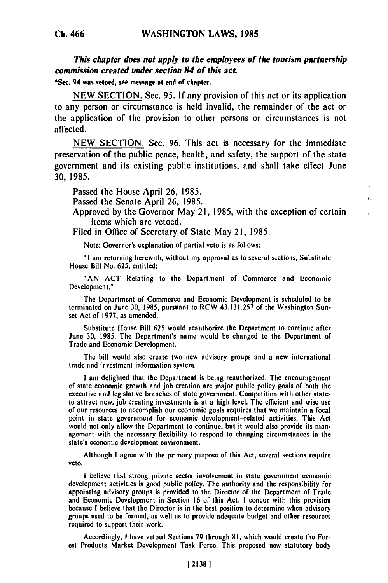*This chapter does not apply to the employees of the tourism partnership commission created under section 84 of this act.*

\*Sec. 94 was **vetoed,** see message at end of chapter.

**NEW SECTION.** Sec. **95. If** any provision of this act or its application to any person or circumstance is held invalid, the remainder of the act or the application of the provision to other persons or circumstances is not affected.

**NEW SECTION.** Sec. **96.** This act is necessary for the immediate preservation of the public peace, health, and safety, the support of the state government and its existing public institutions, and shall take effect June **30, 1985.**

Passed the House April **26, 1985.**

Passed the Senate April **26, 1985.**

Approved **by** the Governor May **21, 1985,** with the exception of certain items which are vetoed.

Filed in Office of Secretary of State May 21, **1985.**

Note: Governor's explanation of partial veto is as follows:

**'** am returning herewith, without my approval as to several scctions, Substifule House Bill No. **625,** entitled:

**"AN ACT** Relating to **the** Department of Commerce and Economic Development."

The Department of Commerce and Economic Development is scheduled to **be** terminated on June **30, 1985,** pursuant to RCW **43.131.257** of the Washington Sunset Act of **1977,** as amended.

Substitute House Bill **625** would reauthorize the Department to continue **after** June **30, 1985.** The Department's name would be changed to the Department of Trade and Economic Development.

The bill would also create two new advisory groups and a new international trade and investment information system.

**I** am delighted that the Department is being reauthorized. The encouragement of state economic growth and **job** creation are major public policy goals **of** both the executive and legislative branches **of** state government. Competition with other states recutive and legislative branches of state government. Competition with other states of attract new, job creating investments is at a high level. The efficient and wise use<br>of our resources to accomplish our economic goals requires that we maintain a focal of our resources to accomplish our economic goals requires that we maintain a focal point in state government for economic development-related activities. This Act would not only allow the Department to continue, but it would also provide its management with the necessary flexibility to respond to changing circumstances in the state's economic development environment.

Although **I** agree with the primary purpose **of** this Act, several sections require veto.

*I* believe that strong private sector involvement in state government economic development activities is good public policy. The authority and the responsibility for aevelopment activities is good public policy. The authority and the responsibility for<br>examining advisory against is acquided to the Director of the Department of Trade appointing advisory groups is provided to the Director of the Department of Trade and Economic Development in Section 16 of this Act. I concur with this provision because I believe that the Director is in the best position to determine when advisory groups used to be formed, as well as to provide adequate budget and other resources required to support their work.

Accordingly, **I** have vetoed Sections **79** through **81,** which would create the For**est** Products Market Development Task Force. This proposed new statutory body